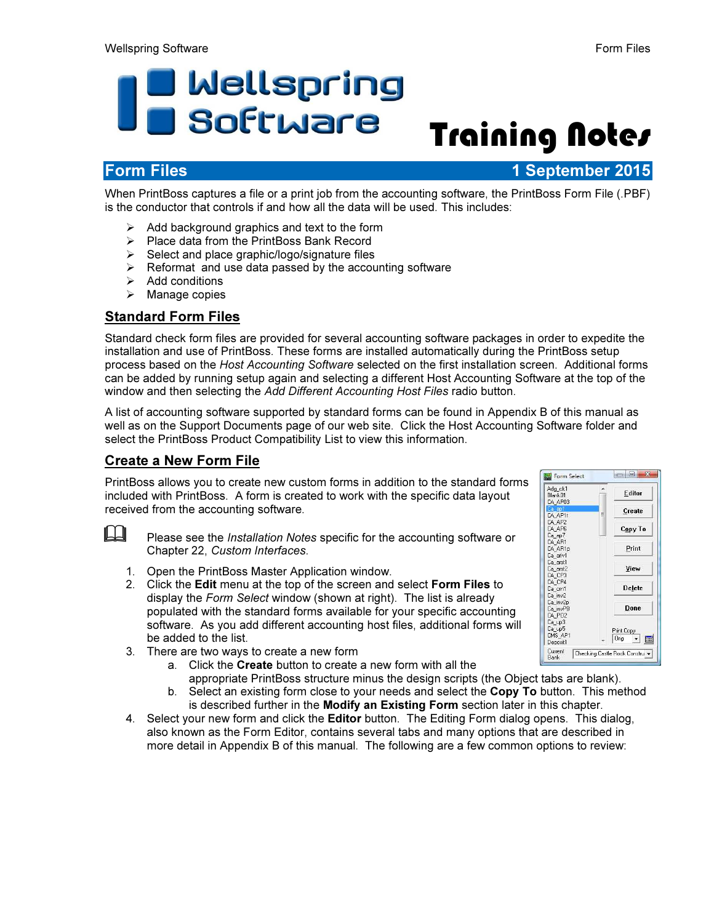# D Wellspring<br>D Software Training Notes

Form Files 1 September 2015

When PrintBoss captures a file or a print job from the accounting software, the PrintBoss Form File (.PBF) is the conductor that controls if and how all the data will be used. This includes:

- $\triangleright$  Add background graphics and text to the form
- $\triangleright$  Place data from the PrintBoss Bank Record
- $\triangleright$  Select and place graphic/logo/signature files
- $\triangleright$  Reformat and use data passed by the accounting software
- $\triangleright$  Add conditions
- $\triangleright$  Manage copies

## Standard Form Files

Standard check form files are provided for several accounting software packages in order to expedite the installation and use of PrintBoss. These forms are installed automatically during the PrintBoss setup process based on the Host Accounting Software selected on the first installation screen. Additional forms can be added by running setup again and selecting a different Host Accounting Software at the top of the window and then selecting the Add Different Accounting Host Files radio button.

A list of accounting software supported by standard forms can be found in Appendix B of this manual as well as on the Support Documents page of our web site. Click the Host Accounting Software folder and select the PrintBoss Product Compatibility List to view this information.

## Create a New Form File

PrintBoss allows you to create new custom forms in addition to the standard forms included with PrintBoss. A form is created to work with the specific data layout received from the accounting software.



- 1. Open the PrintBoss Master Application window.
- 2. Click the Edit menu at the top of the screen and select Form Files to display the Form Select window (shown at right). The list is already populated with the standard forms available for your specific accounting software. As you add different accounting host files, additional forms will be added to the list.
- 3. There are two ways to create a new form
	- a. Click the Create button to create a new form with all the
	- appropriate PrintBoss structure minus the design scripts (the Object tabs are blank). b. Select an existing form close to your needs and select the **Copy To** button. This method is described further in the Modify an Existing Form section later in this chapter.
- 4. Select your new form and click the **Editor** button. The Editing Form dialog opens. This dialog, also known as the Form Editor, contains several tabs and many options that are described in more detail in Appendix B of this manual. The following are a few common options to review:

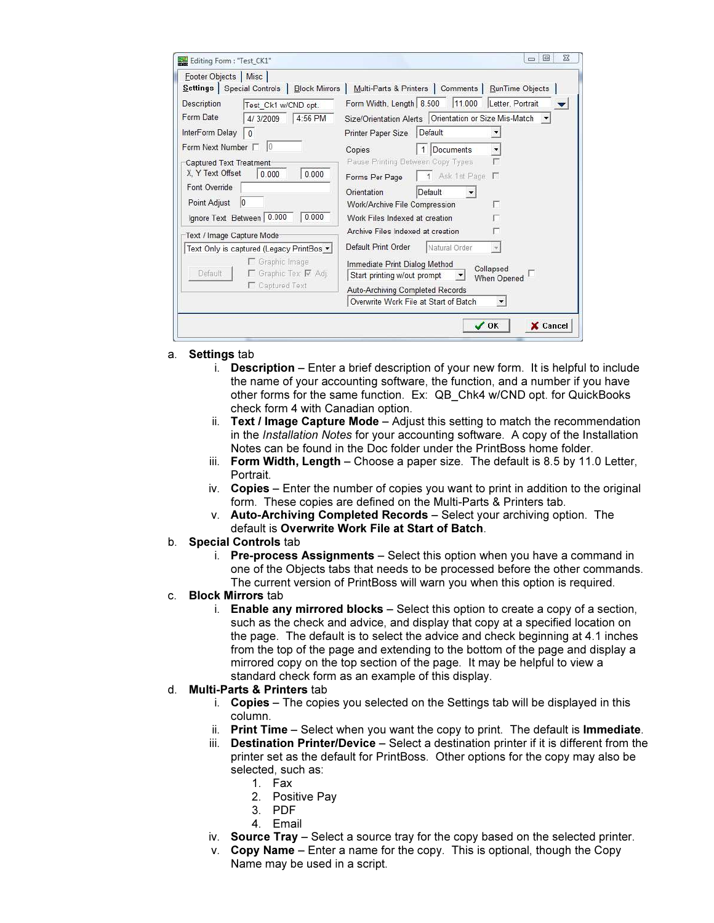| Footer Objects   Misc                                                                                                                                                                        | Settings   Special Controls   Block Mirrors                                                | Multi-Parts & Printers   Comments   RunTime Objects                                                                                                                                                                                                                                                                                                                        |
|----------------------------------------------------------------------------------------------------------------------------------------------------------------------------------------------|--------------------------------------------------------------------------------------------|----------------------------------------------------------------------------------------------------------------------------------------------------------------------------------------------------------------------------------------------------------------------------------------------------------------------------------------------------------------------------|
| Description<br>Form Date<br>InterForm Delay<br>Form Next Number $\Box$ 0<br><b>Captured Text Treatment</b><br>X. Y Text Offset<br>Font Override<br>Point Adjust<br>Ignore Text Between 0.000 | Test Ck1 w/CND opt.<br>4:56 PM<br>4/3/2009<br>$ 0\rangle$<br>0.000<br>0.000<br>10<br>0.000 | Form Width, Length 8.500 11.000<br>Letter, Portrait<br>Size/Orientation Alerts   Orientation or Size Mis-Match<br>Default<br><b>Printer Paper Size</b><br>$\overline{1}$<br>Documents<br>Copies<br>Pause Printing Between Copy Types<br>1 Ask 1st Page<br>Forms Per Page<br>Orientation<br>Default<br>Work/Archive File Compression<br>г<br>Work Files Indexed at creation |
| Text / Image Capture Mode-                                                                                                                                                                   |                                                                                            | Archive Files Indexed at creation                                                                                                                                                                                                                                                                                                                                          |
|                                                                                                                                                                                              | Text Only is captured (Legacy PrintBos v                                                   | Default Print Order<br>Natural Order                                                                                                                                                                                                                                                                                                                                       |
| Default                                                                                                                                                                                      | Graphic Image<br>□ Graphic Tex: Ø Adj.<br>Captured Text                                    | Immediate Print Dialog Method<br>Collapsed<br>Start printing w/out prompt<br>▼<br>When Opened<br>Auto-Archiving Completed Records                                                                                                                                                                                                                                          |
|                                                                                                                                                                                              |                                                                                            | Overwrite Work File at Start of Batch                                                                                                                                                                                                                                                                                                                                      |

- a. Settings tab
	- i. Description Enter a brief description of your new form. It is helpful to include the name of your accounting software, the function, and a number if you have other forms for the same function. Ex: QB\_Chk4 w/CND opt. for QuickBooks check form 4 with Canadian option.
	- ii. Text  *Image Capture Mode Adjust this setting to match the recommendation* in the Installation Notes for your accounting software. A copy of the Installation Notes can be found in the Doc folder under the PrintBoss home folder.
	- iii. Form Width, Length  $-$  Choose a paper size. The default is 8.5 by 11.0 Letter, Portrait.
	- $iv.$  Copies Enter the number of copies you want to print in addition to the original form. These copies are defined on the Multi-Parts & Printers tab.
	- v. Auto-Archiving Completed Records Select your archiving option. The default is Overwrite Work File at Start of Batch.
- b. Special Controls tab
	- i. Pre-process Assignments Select this option when you have a command in one of the Objects tabs that needs to be processed before the other commands. The current version of PrintBoss will warn you when this option is required.
- c. Block Mirrors tab
	- i. Enable any mirrored blocks Select this option to create a copy of a section, such as the check and advice, and display that copy at a specified location on the page. The default is to select the advice and check beginning at 4.1 inches from the top of the page and extending to the bottom of the page and display a mirrored copy on the top section of the page. It may be helpful to view a standard check form as an example of this display.

#### d. Multi-Parts & Printers tab

- i. Copies The copies you selected on the Settings tab will be displayed in this column.
- ii. Print Time Select when you want the copy to print. The default is Immediate.
- iii. Destination Printer/Device Select a destination printer if it is different from the printer set as the default for PrintBoss. Other options for the copy may also be selected, such as:
	- 1. Fax
	- 2. Positive Pay
	- 3. PDF
	- 4. Email
- iv. Source Tray  $-$  Select a source tray for the copy based on the selected printer.
- v. Copy Name Enter a name for the copy. This is optional, though the Copy Name may be used in a script.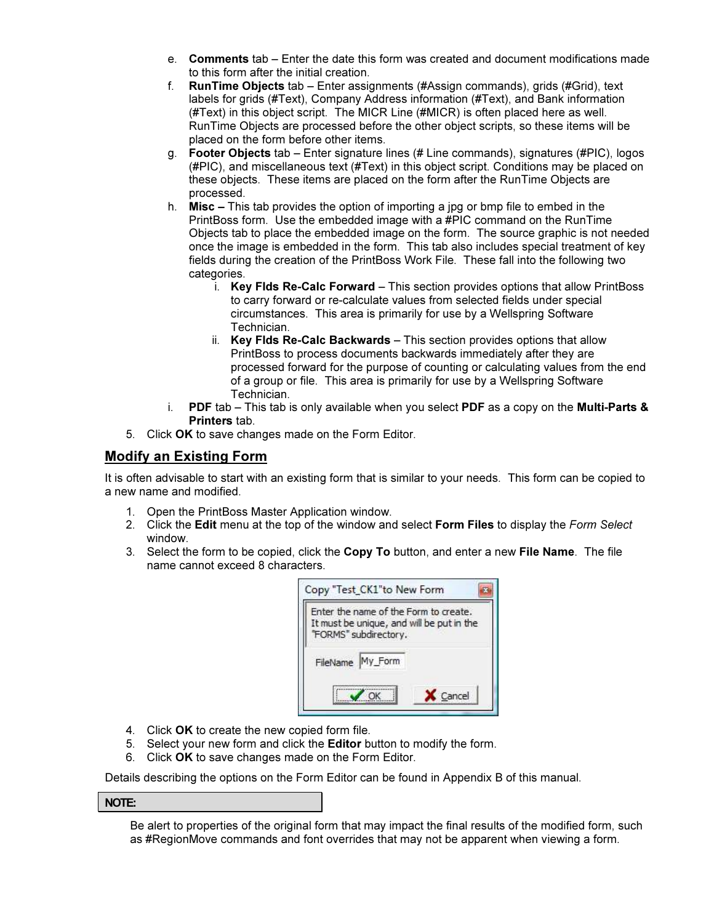- e. Comments tab Enter the date this form was created and document modifications made to this form after the initial creation.
- f. RunTime Objects tab Enter assignments (#Assign commands), grids (#Grid), text labels for grids (#Text), Company Address information (#Text), and Bank information (#Text) in this object script. The MICR Line (#MICR) is often placed here as well. RunTime Objects are processed before the other object scripts, so these items will be placed on the form before other items.
- g. Footer Objects tab Enter signature lines (# Line commands), signatures (#PIC), logos (#PIC), and miscellaneous text (#Text) in this object script. Conditions may be placed on these objects. These items are placed on the form after the RunTime Objects are processed.
- h. Misc This tab provides the option of importing a jpg or bmp file to embed in the PrintBoss form. Use the embedded image with a #PIC command on the RunTime Objects tab to place the embedded image on the form. The source graphic is not needed once the image is embedded in the form. This tab also includes special treatment of key fields during the creation of the PrintBoss Work File. These fall into the following two categories.
	- i. Key Flds Re-Calc Forward This section provides options that allow PrintBoss to carry forward or re-calculate values from selected fields under special circumstances. This area is primarily for use by a Wellspring Software Technician.
	- ii. Key Flds Re-Calc Backwards This section provides options that allow PrintBoss to process documents backwards immediately after they are processed forward for the purpose of counting or calculating values from the end of a group or file. This area is primarily for use by a Wellspring Software Technician.
- i. PDF tab This tab is only available when you select PDF as a copy on the Multi-Parts  $\&$ Printers tab.
- 5. Click OK to save changes made on the Form Editor.

### Modify an Existing Form

It is often advisable to start with an existing form that is similar to your needs. This form can be copied to a new name and modified.

- 1. Open the PrintBoss Master Application window.
- 2. Click the Edit menu at the top of the window and select Form Files to display the Form Select window.
- 3. Select the form to be copied, click the Copy To button, and enter a new File Name. The file name cannot exceed 8 characters.



- 4. Click OK to create the new copied form file.
- 5. Select your new form and click the Editor button to modify the form.
- 6. Click OK to save changes made on the Form Editor.

Details describing the options on the Form Editor can be found in Appendix B of this manual.

#### NOTE:

Be alert to properties of the original form that may impact the final results of the modified form, such as #RegionMove commands and font overrides that may not be apparent when viewing a form.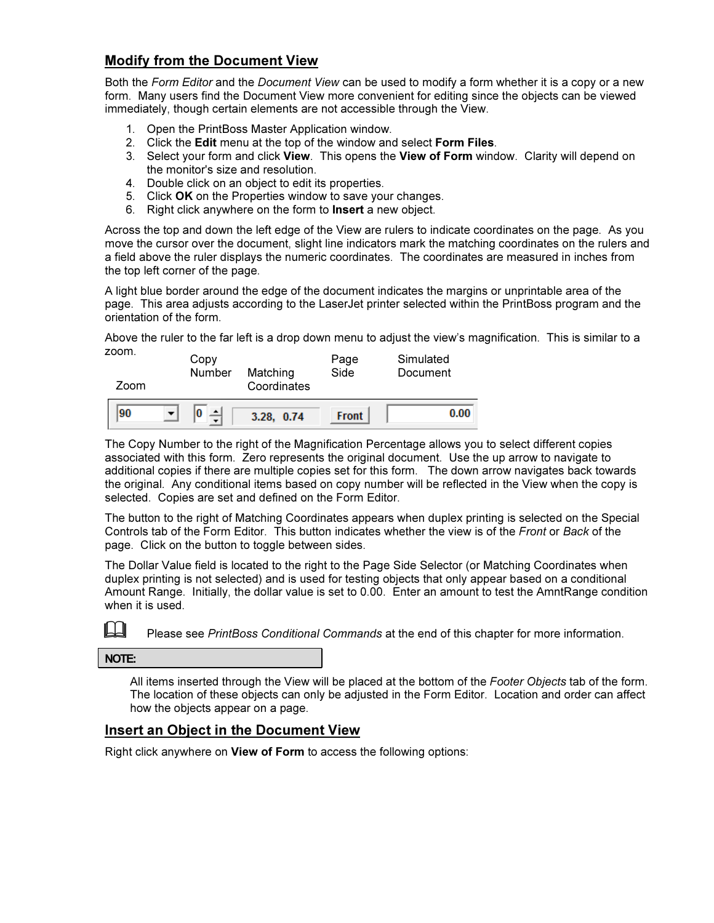## Modify from the Document View

Both the Form Editor and the Document View can be used to modify a form whether it is a copy or a new form. Many users find the Document View more convenient for editing since the objects can be viewed immediately, though certain elements are not accessible through the View.

- 1. Open the PrintBoss Master Application window.
- 2. Click the Edit menu at the top of the window and select Form Files.
- 3. Select your form and click View. This opens the View of Form window. Clarity will depend on the monitor's size and resolution.
- 4. Double click on an object to edit its properties.
- 5. Click OK on the Properties window to save your changes.
- 6. Right click anywhere on the form to Insert a new object.

Across the top and down the left edge of the View are rulers to indicate coordinates on the page. As you move the cursor over the document, slight line indicators mark the matching coordinates on the rulers and a field above the ruler displays the numeric coordinates. The coordinates are measured in inches from the top left corner of the page.

A light blue border around the edge of the document indicates the margins or unprintable area of the page. This area adjusts according to the LaserJet printer selected within the PrintBoss program and the orientation of the form.

Above the ruler to the far left is a drop down menu to adjust the view's magnification. This is similar to a zoom.

| ----- | Copy   | Matching    | Page         | Simulated |
|-------|--------|-------------|--------------|-----------|
| Zoom  | Number | Coordinates | Side         | Document  |
| 90    | 0      | 3.28, 0.74  | <b>Front</b> | 0.00      |

The Copy Number to the right of the Magnification Percentage allows you to select different copies associated with this form. Zero represents the original document. Use the up arrow to navigate to additional copies if there are multiple copies set for this form. The down arrow navigates back towards the original. Any conditional items based on copy number will be reflected in the View when the copy is selected. Copies are set and defined on the Form Editor.

The button to the right of Matching Coordinates appears when duplex printing is selected on the Special Controls tab of the Form Editor. This button indicates whether the view is of the Front or Back of the page. Click on the button to toggle between sides.

The Dollar Value field is located to the right to the Page Side Selector (or Matching Coordinates when duplex printing is not selected) and is used for testing objects that only appear based on a conditional Amount Range. Initially, the dollar value is set to 0.00. Enter an amount to test the AmntRange condition when it is used.

Please see PrintBoss Conditional Commands at the end of this chapter for more information.

NOTE:

All items inserted through the View will be placed at the bottom of the Footer Objects tab of the form. The location of these objects can only be adjusted in the Form Editor. Location and order can affect how the objects appear on a page.

#### Insert an Object in the Document View

Right click anywhere on View of Form to access the following options: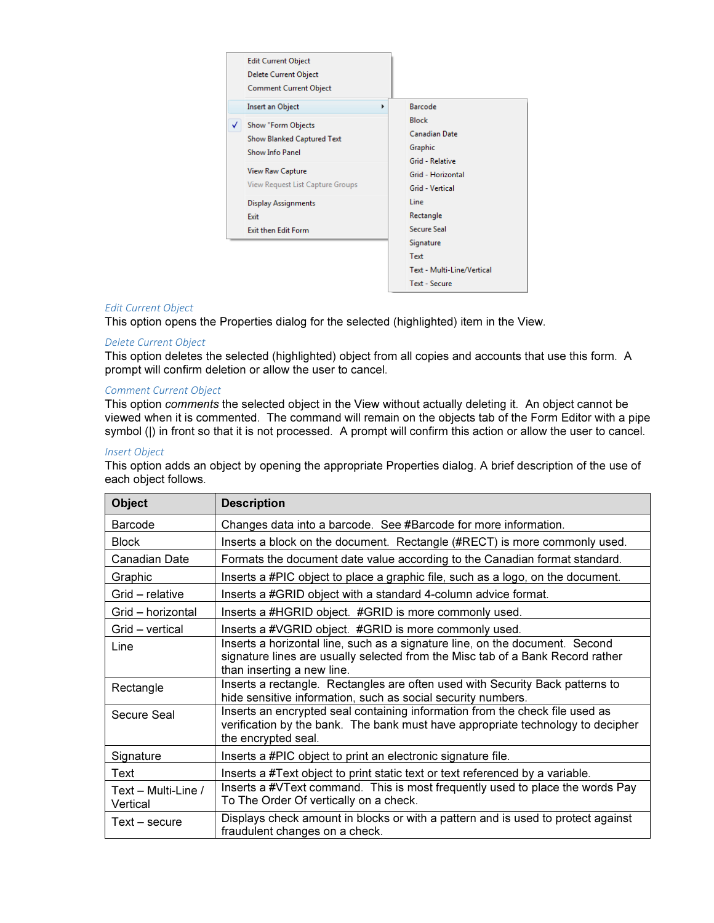

#### Edit Current Object

This option opens the Properties dialog for the selected (highlighted) item in the View.

#### Delete Current Object

This option deletes the selected (highlighted) object from all copies and accounts that use this form. A prompt will confirm deletion or allow the user to cancel.

#### Comment Current Object

This option comments the selected object in the View without actually deleting it. An object cannot be viewed when it is commented. The command will remain on the objects tab of the Form Editor with a pipe symbol (|) in front so that it is not processed. A prompt will confirm this action or allow the user to cancel.

#### Insert Object

This option adds an object by opening the appropriate Properties dialog. A brief description of the use of each object follows.

| <b>Object</b>                   | <b>Description</b>                                                                                                                                                                           |
|---------------------------------|----------------------------------------------------------------------------------------------------------------------------------------------------------------------------------------------|
| Barcode                         | Changes data into a barcode. See #Barcode for more information.                                                                                                                              |
| <b>Block</b>                    | Inserts a block on the document. Rectangle (#RECT) is more commonly used.                                                                                                                    |
| Canadian Date                   | Formats the document date value according to the Canadian format standard.                                                                                                                   |
| Graphic                         | Inserts a #PIC object to place a graphic file, such as a logo, on the document.                                                                                                              |
| Grid - relative                 | Inserts a #GRID object with a standard 4-column advice format.                                                                                                                               |
| Grid – horizontal               | Inserts a #HGRID object. #GRID is more commonly used.                                                                                                                                        |
| Grid - vertical                 | Inserts a #VGRID object. #GRID is more commonly used.                                                                                                                                        |
| Line                            | Inserts a horizontal line, such as a signature line, on the document. Second<br>signature lines are usually selected from the Misc tab of a Bank Record rather<br>than inserting a new line. |
| Rectangle                       | Inserts a rectangle. Rectangles are often used with Security Back patterns to<br>hide sensitive information, such as social security numbers.                                                |
| Secure Seal                     | Inserts an encrypted seal containing information from the check file used as<br>verification by the bank. The bank must have appropriate technology to decipher<br>the encrypted seal.       |
| Signature                       | Inserts a #PIC object to print an electronic signature file.                                                                                                                                 |
| Text                            | Inserts a #Text object to print static text or text referenced by a variable.                                                                                                                |
| Text - Multi-Line /<br>Vertical | Inserts a #VText command. This is most frequently used to place the words Pay<br>To The Order Of vertically on a check.                                                                      |
| Text – secure                   | Displays check amount in blocks or with a pattern and is used to protect against<br>fraudulent changes on a check.                                                                           |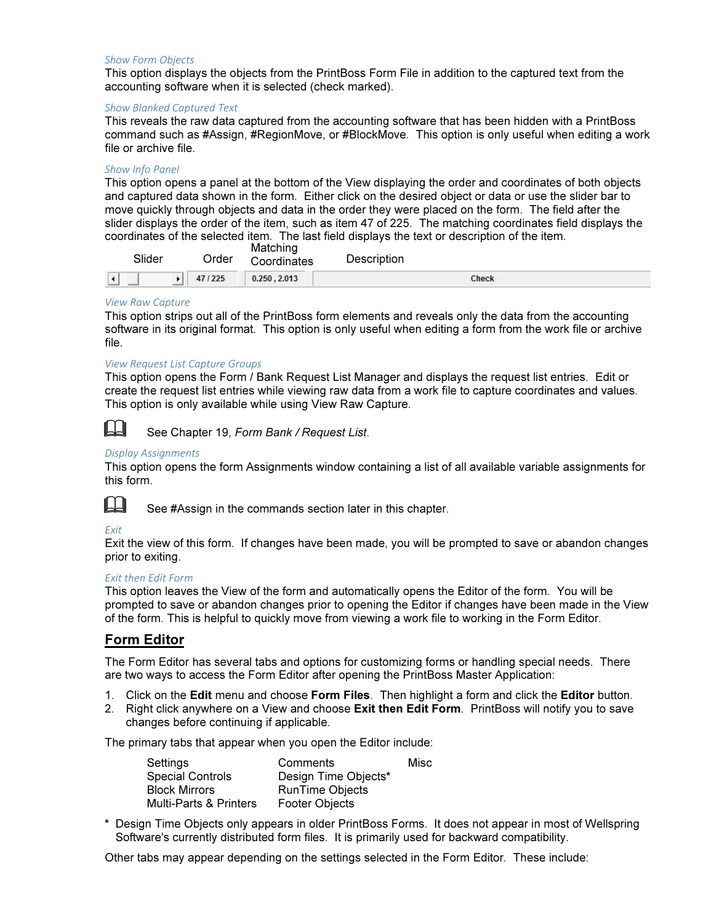#### Show Form Objects

This option displays the objects from the PrintBoss Form File in addition to the captured text from the accounting software when it is selected (check marked).

#### Show Blanked Captured Text

This reveals the raw data captured from the accounting software that has been hidden with a PrintBoss command such as #Assign, #RegionMove, or #BlockMove. This option is only useful when editing a work file or archive file.

#### Show Info Panel

This option opens a panel at the bottom of the View displaying the order and coordinates of both objects and captured data shown in the form. Either click on the desired object or data or use the slider bar to move quickly through objects and data in the order they were placed on the form. The field after the slider displays the order of the item, such as item 47 of 225. The matching coordinates field displays the coordinates of the selected item. The last field displays the text or description of the item.

| Slider | Order  | Matching<br>Coordinates | Description |
|--------|--------|-------------------------|-------------|
|        | 47/225 | 0.250, 2.013            | Check       |

#### View Raw Capture

This option strips out all of the PrintBoss form elements and reveals only the data from the accounting software in its original format. This option is only useful when editing a form from the work file or archive file.

#### View Request List Capture Groups

This option opens the Form / Bank Request List Manager and displays the request list entries. Edit or create the request list entries while viewing raw data from a work file to capture coordinates and values. This option is only available while using View Raw Capture.



**LA** See Chapter 19, Form Bank / Request List.

#### Display Assignments

This option opens the form Assignments window containing a list of all available variable assignments for this form.



 $\mathbb{H}$  See #Assign in the commands section later in this chapter.

#### Exit

Exit the view of this form. If changes have been made, you will be prompted to save or abandon changes prior to exiting.

#### Exit then Edit Form

This option leaves the View of the form and automatically opens the Editor of the form. You will be prompted to save or abandon changes prior to opening the Editor if changes have been made in the View of the form. This is helpful to quickly move from viewing a work file to working in the Form Editor.

#### Form Editor

The Form Editor has several tabs and options for customizing forms or handling special needs. There are two ways to access the Form Editor after opening the PrintBoss Master Application:

- 1. Click on the Edit menu and choose Form Files. Then highlight a form and click the Editor button.
- 2. Right click anywhere on a View and choose Exit then Edit Form. PrintBoss will notify you to save changes before continuing if applicable.

The primary tabs that appear when you open the Editor include:

| Settings                          | Comments               | Misc |
|-----------------------------------|------------------------|------|
| <b>Special Controls</b>           | Design Time Objects*   |      |
| <b>Block Mirrors</b>              | <b>RunTime Objects</b> |      |
| <b>Multi-Parts &amp; Printers</b> | Footer Objects         |      |

\* Design Time Objects only appears in older PrintBoss Forms. It does not appear in most of Wellspring Software's currently distributed form files. It is primarily used for backward compatibility.

Other tabs may appear depending on the settings selected in the Form Editor. These include: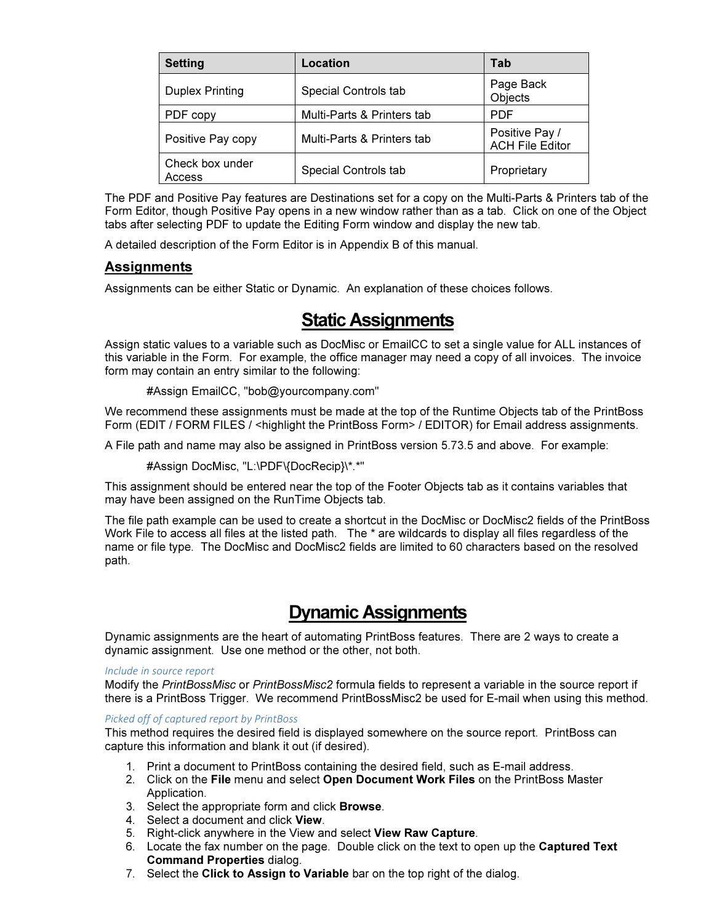| <b>Setting</b>            | Location                   | Tab                                      |
|---------------------------|----------------------------|------------------------------------------|
| <b>Duplex Printing</b>    | Special Controls tab       | Page Back<br>Objects                     |
| PDF copy                  | Multi-Parts & Printers tab | <b>PDF</b>                               |
| Positive Pay copy         | Multi-Parts & Printers tab | Positive Pay /<br><b>ACH File Editor</b> |
| Check box under<br>Access | Special Controls tab       | Proprietary                              |

The PDF and Positive Pay features are Destinations set for a copy on the Multi-Parts & Printers tab of the Form Editor, though Positive Pay opens in a new window rather than as a tab. Click on one of the Object tabs after selecting PDF to update the Editing Form window and display the new tab.

A detailed description of the Form Editor is in Appendix B of this manual.

#### Assignments

Assignments can be either Static or Dynamic. An explanation of these choices follows.

# Static Assignments

Assign static values to a variable such as DocMisc or EmailCC to set a single value for ALL instances of this variable in the Form. For example, the office manager may need a copy of all invoices. The invoice form may contain an entry similar to the following:

```
 #Assign EmailCC, "bob@yourcompany.com"
```
We recommend these assignments must be made at the top of the Runtime Objects tab of the PrintBoss Form (EDIT / FORM FILES / <highlight the PrintBoss Form> / EDITOR) for Email address assignments.

A File path and name may also be assigned in PrintBoss version 5.73.5 and above. For example:

#Assign DocMisc, "L:\PDF\{DocRecip}\\*.\*"

This assignment should be entered near the top of the Footer Objects tab as it contains variables that may have been assigned on the RunTime Objects tab.

The file path example can be used to create a shortcut in the DocMisc or DocMisc2 fields of the PrintBoss Work File to access all files at the listed path. The \* are wildcards to display all files regardless of the name or file type. The DocMisc and DocMisc2 fields are limited to 60 characters based on the resolved path.

# Dynamic Assignments

Dynamic assignments are the heart of automating PrintBoss features. There are 2 ways to create a dynamic assignment. Use one method or the other, not both.

#### Include in source report

Modify the PrintBossMisc or PrintBossMisc2 formula fields to represent a variable in the source report if there is a PrintBoss Trigger. We recommend PrintBossMisc2 be used for E-mail when using this method.

#### Picked off of captured report by PrintBoss

This method requires the desired field is displayed somewhere on the source report. PrintBoss can capture this information and blank it out (if desired).

- 1. Print a document to PrintBoss containing the desired field, such as E-mail address.
- 2. Click on the File menu and select Open Document Work Files on the PrintBoss Master Application.
- 3. Select the appropriate form and click Browse.
- 4. Select a document and click View.
- 5. Right-click anywhere in the View and select View Raw Capture.
- 6. Locate the fax number on the page. Double click on the text to open up the Captured Text Command Properties dialog.
- 7. Select the Click to Assign to Variable bar on the top right of the dialog.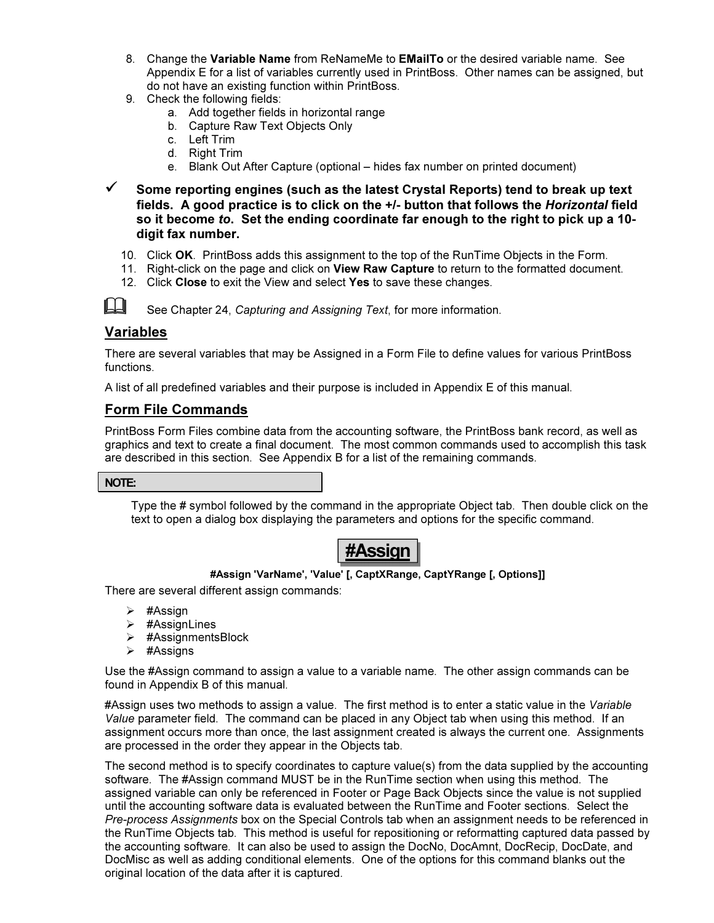- 8. Change the Variable Name from ReNameMe to EMailTo or the desired variable name. See Appendix E for a list of variables currently used in PrintBoss. Other names can be assigned, but do not have an existing function within PrintBoss.
- 9. Check the following fields:
	- a. Add together fields in horizontal range
	- b. Capture Raw Text Objects Only
	- c. Left Trim
	- d. Right Trim
	- e. Blank Out After Capture (optional hides fax number on printed document)
- $\checkmark$  Some reporting engines (such as the latest Crystal Reports) tend to break up text fields. A good practice is to click on the +/- button that follows the Horizontal field so it become to. Set the ending coordinate far enough to the right to pick up a 10 digit fax number.
	- 10. Click OK. PrintBoss adds this assignment to the top of the RunTime Objects in the Form.
	- 11. Right-click on the page and click on View Raw Capture to return to the formatted document.
	- 12. Click Close to exit the View and select Yes to save these changes.

See Chapter 24, Capturing and Assigning Text, for more information.

#### Variables

There are several variables that may be Assigned in a Form File to define values for various PrintBoss functions.

A list of all predefined variables and their purpose is included in Appendix E of this manual.

## Form File Commands

PrintBoss Form Files combine data from the accounting software, the PrintBoss bank record, as well as graphics and text to create a final document. The most common commands used to accomplish this task are described in this section. See Appendix B for a list of the remaining commands.

#### NOTE:

Type the # symbol followed by the command in the appropriate Object tab. Then double click on the text to open a dialog box displaying the parameters and options for the specific command.

# #Assign

#### #Assign 'VarName', 'Value' [, CaptXRange, CaptYRange [, Options]]

There are several different assign commands:

- $\triangleright$  #Assign
- $\triangleright$  #AssignLines
- #AssignmentsBlock
- $\triangleright$  #Assigns

Use the #Assign command to assign a value to a variable name. The other assign commands can be found in Appendix B of this manual.

#Assign uses two methods to assign a value. The first method is to enter a static value in the Variable Value parameter field. The command can be placed in any Object tab when using this method. If an assignment occurs more than once, the last assignment created is always the current one. Assignments are processed in the order they appear in the Objects tab.

The second method is to specify coordinates to capture value(s) from the data supplied by the accounting software. The #Assign command MUST be in the RunTime section when using this method. The assigned variable can only be referenced in Footer or Page Back Objects since the value is not supplied until the accounting software data is evaluated between the RunTime and Footer sections. Select the Pre-process Assignments box on the Special Controls tab when an assignment needs to be referenced in the RunTime Objects tab. This method is useful for repositioning or reformatting captured data passed by the accounting software. It can also be used to assign the DocNo, DocAmnt, DocRecip, DocDate, and DocMisc as well as adding conditional elements. One of the options for this command blanks out the original location of the data after it is captured.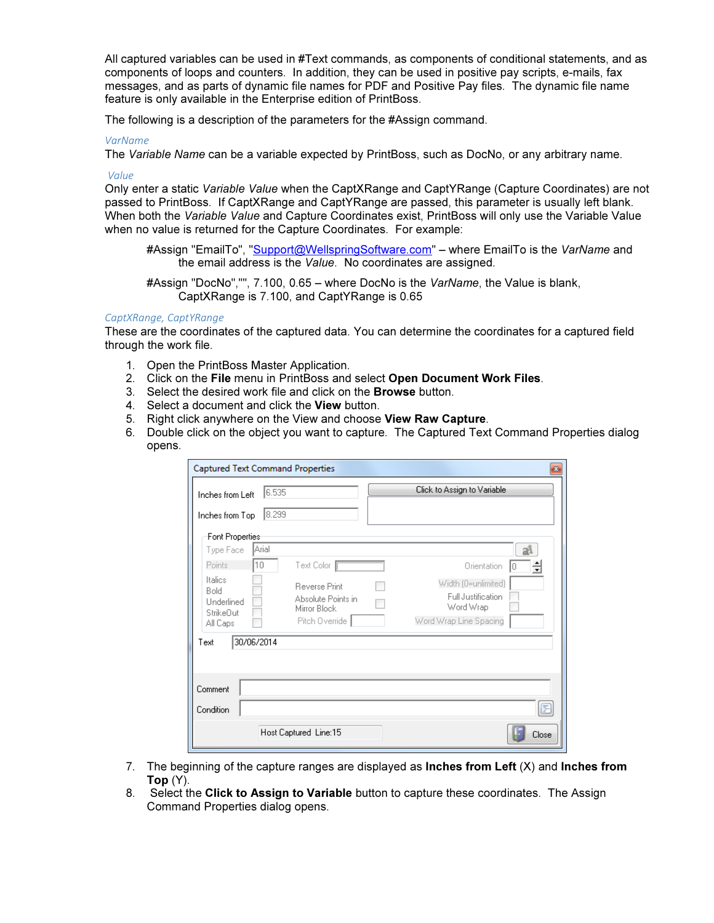All captured variables can be used in #Text commands, as components of conditional statements, and as components of loops and counters. In addition, they can be used in positive pay scripts, e-mails, fax messages, and as parts of dynamic file names for PDF and Positive Pay files. The dynamic file name feature is only available in the Enterprise edition of PrintBoss.

The following is a description of the parameters for the #Assign command.

#### VarName

The Variable Name can be a variable expected by PrintBoss, such as DocNo, or any arbitrary name.

#### Value

Only enter a static Variable Value when the CaptXRange and CaptYRange (Capture Coordinates) are not passed to PrintBoss. If CaptXRange and CaptYRange are passed, this parameter is usually left blank. When both the Variable Value and Capture Coordinates exist, PrintBoss will only use the Variable Value when no value is returned for the Capture Coordinates. For example:

#Assign "EmailTo", "Support@WellspringSoftware.com" – where EmailTo is the VarName and the email address is the Value. No coordinates are assigned.

#Assign "DocNo","", 7.100, 0.65 – where DocNo is the VarName, the Value is blank, CaptXRange is 7.100, and CaptYRange is 0.65

#### CaptXRange, CaptYRange

These are the coordinates of the captured data. You can determine the coordinates for a captured field through the work file.

- 1. Open the PrintBoss Master Application.
- 2. Click on the File menu in PrintBoss and select Open Document Work Files.
- 3. Select the desired work file and click on the **Browse** button.
- 4. Select a document and click the View button.
- 5. Right click anywhere on the View and choose View Raw Capture.
- 6. Double click on the object you want to capture. The Captured Text Command Properties dialog opens.

| 6.535<br>Inches from Left                                                    |                                                                                                | Click to Assign to Variable                                                                                |
|------------------------------------------------------------------------------|------------------------------------------------------------------------------------------------|------------------------------------------------------------------------------------------------------------|
| 8.299<br>Inches from Top                                                     |                                                                                                |                                                                                                            |
| Font Properties                                                              |                                                                                                |                                                                                                            |
| Arial<br>Type Face<br>10<br>Points                                           |                                                                                                | аA                                                                                                         |
| Italics<br><b>Bold</b><br><b>Linderlined</b><br><b>StrikeOut</b><br>All Caps | Text Color   F<br><b>Reverse Print</b><br>Absolute Points in<br>Mirror Block<br>Pitch Override | Orientation<br>킄<br>ΙO<br>Width (0=unlimited)<br>Full Justification<br>Word Wrap<br>Word Wrap Line Spacing |
| 30/06/2014<br>Text                                                           |                                                                                                |                                                                                                            |
|                                                                              |                                                                                                |                                                                                                            |
| Comment                                                                      |                                                                                                |                                                                                                            |

- 7. The beginning of the capture ranges are displayed as **Inches from Left**  $(X)$  and **Inches from** Top  $(Y)$ .
- 8. Select the Click to Assign to Variable button to capture these coordinates. The Assign Command Properties dialog opens.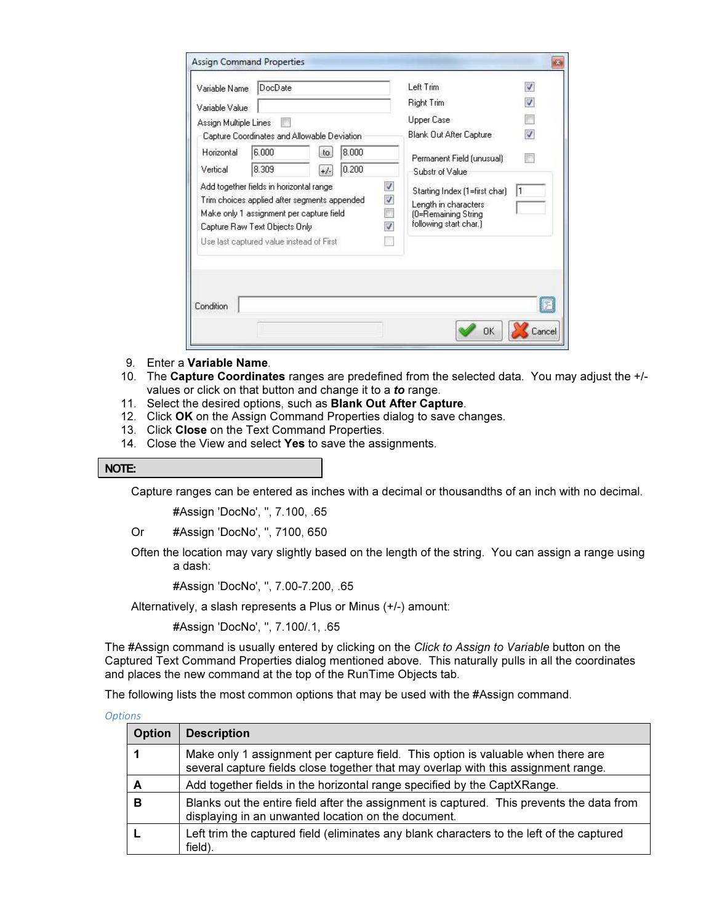| Variable Name                                                                                                                                                     | DocDate                                     |       |       |                                                                              | Left Trim                 | v |
|-------------------------------------------------------------------------------------------------------------------------------------------------------------------|---------------------------------------------|-------|-------|------------------------------------------------------------------------------|---------------------------|---|
| Variable Value                                                                                                                                                    |                                             |       |       |                                                                              | <b>Right Trim</b>         | V |
| Assign Multiple Lines                                                                                                                                             |                                             |       |       |                                                                              | Upper Case                |   |
|                                                                                                                                                                   | Capture Coordinates and Allowable Deviation |       |       |                                                                              | Blank Out After Capture   | V |
| Horizontal                                                                                                                                                        | 6.000                                       | to.   | 8.000 |                                                                              | Permanent Field (unusual) |   |
| Vertical                                                                                                                                                          | 8.309                                       | $+/-$ | 0.200 |                                                                              | Substr of Value           |   |
| Ø<br>Add together fields in horizontal range<br>$\boldsymbol{J}$<br>Trim choices applied after segments appended<br>煦<br>Make only 1 assignment per capture field |                                             |       |       | Starting Index (1=first char)<br>Length in characters<br>(0=Remaining String | 1                         |   |
|                                                                                                                                                                   | Capture Raw Text Objects Only               |       |       | V                                                                            | following start char.)    |   |
|                                                                                                                                                                   | Use last captured value instead of First    |       |       |                                                                              |                           |   |
| Condition                                                                                                                                                         |                                             |       |       |                                                                              |                           |   |

- 9. Enter a Variable Name.
- 10. The Capture Coordinates ranges are predefined from the selected data. You may adjust the +/values or click on that button and change it to a to range.
- 11. Select the desired options, such as **Blank Out After Capture**.
- 12. Click OK on the Assign Command Properties dialog to save changes.
- 13. Click Close on the Text Command Properties.
- 14. Close the View and select Yes to save the assignments.

#### NOTE:

Capture ranges can be entered as inches with a decimal or thousandths of an inch with no decimal.

#Assign 'DocNo', '', 7.100, .65

Or #Assign 'DocNo', '', 7100, 650

Often the location may vary slightly based on the length of the string. You can assign a range using a dash:

#Assign 'DocNo', '', 7.00-7.200, .65

Alternatively, a slash represents a Plus or Minus (+/-) amount:

#Assign 'DocNo', '', 7.100/.1, .65

The #Assign command is usually entered by clicking on the Click to Assign to Variable button on the Captured Text Command Properties dialog mentioned above. This naturally pulls in all the coordinates and places the new command at the top of the RunTime Objects tab.

The following lists the most common options that may be used with the #Assign command.

| <b>Options</b> |                                                                                                                                                                        |                                                                                                                                                  |  |  |  |  |  |
|----------------|------------------------------------------------------------------------------------------------------------------------------------------------------------------------|--------------------------------------------------------------------------------------------------------------------------------------------------|--|--|--|--|--|
|                | <b>Option</b>                                                                                                                                                          | <b>Description</b>                                                                                                                               |  |  |  |  |  |
|                | Make only 1 assignment per capture field. This option is valuable when there are<br>several capture fields close together that may overlap with this assignment range. |                                                                                                                                                  |  |  |  |  |  |
|                | A                                                                                                                                                                      | Add together fields in the horizontal range specified by the CaptXRange.                                                                         |  |  |  |  |  |
|                | в                                                                                                                                                                      | Blanks out the entire field after the assignment is captured. This prevents the data from<br>displaying in an unwanted location on the document. |  |  |  |  |  |
|                |                                                                                                                                                                        | Left trim the captured field (eliminates any blank characters to the left of the captured<br>field).                                             |  |  |  |  |  |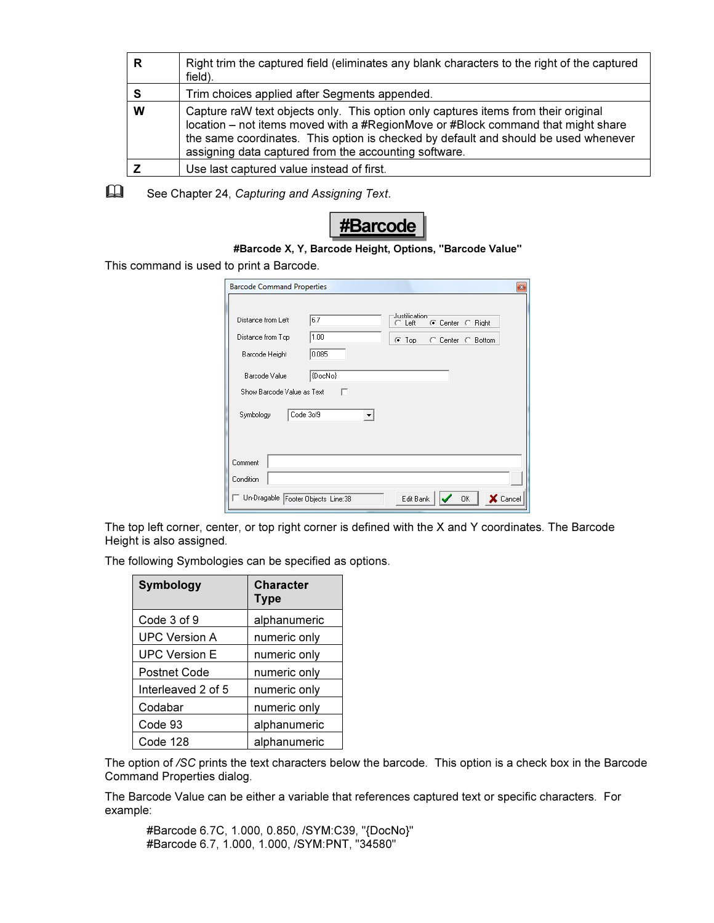| R | Right trim the captured field (eliminates any blank characters to the right of the captured<br>field).                                                                                                                                                                                                                 |
|---|------------------------------------------------------------------------------------------------------------------------------------------------------------------------------------------------------------------------------------------------------------------------------------------------------------------------|
|   | Trim choices applied after Segments appended.                                                                                                                                                                                                                                                                          |
| W | Capture raW text objects only. This option only captures items from their original<br>location – not items moved with a #RegionMove or #Block command that might share<br>the same coordinates. This option is checked by default and should be used whenever<br>assigning data captured from the accounting software. |
|   | Use last captured value instead of first.                                                                                                                                                                                                                                                                              |

 $\Box$ See Chapter 24, Capturing and Assigning Text.



This command is used to print a Barcode.

| <b>Barcode Command Properties</b>                                                                                                           | $\mathbf{z}$                                                                   |
|---------------------------------------------------------------------------------------------------------------------------------------------|--------------------------------------------------------------------------------|
| 6.7<br>Distance from Left<br>1.00<br>Distance from Top<br>0.085<br>Barcode Height<br>(DocNo)<br>Barcode Value<br>Show Barcode Value as Text | Justification<br>C Center C Right<br>T Left<br>⊙ Top<br>C Center C Bottom<br>п |
| Code 3of9<br>Symbology                                                                                                                      |                                                                                |
| Comment<br>Condition                                                                                                                        |                                                                                |
| Un-Dragable Footer Objects Line:38                                                                                                          | 0K<br>X Cancel<br>Edit Bank                                                    |

The top left corner, center, or top right corner is defined with the X and Y coordinates. The Barcode Height is also assigned.

The following Symbologies can be specified as options.

| <b>Symbology</b>     | <b>Character</b><br><b>Type</b> |
|----------------------|---------------------------------|
| Code 3 of 9          | alphanumeric                    |
| <b>UPC Version A</b> | numeric only                    |
| <b>UPC Version E</b> | numeric only                    |
| Postnet Code         | numeric only                    |
| Interleaved 2 of 5   | numeric only                    |
| Codabar              | numeric only                    |
| Code 93              | alphanumeric                    |
| Code 128             | alphanumeric                    |

The option of /SC prints the text characters below the barcode. This option is a check box in the Barcode Command Properties dialog.

The Barcode Value can be either a variable that references captured text or specific characters. For example:

#Barcode 6.7C, 1.000, 0.850, /SYM:C39, "{DocNo}" #Barcode 6.7, 1.000, 1.000, /SYM:PNT, "34580"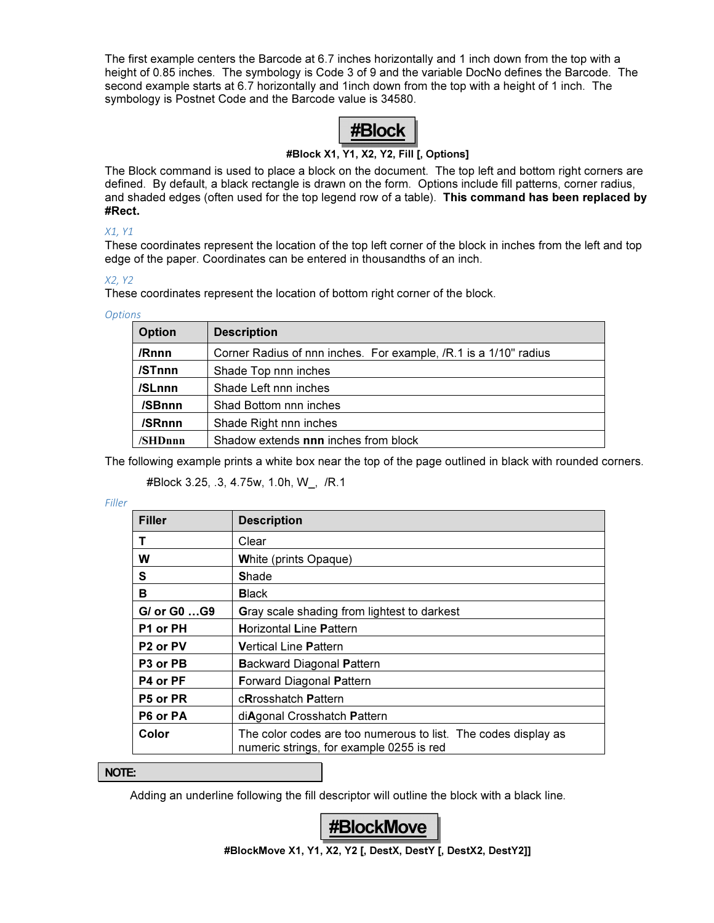The first example centers the Barcode at 6.7 inches horizontally and 1 inch down from the top with a height of 0.85 inches. The symbology is Code 3 of 9 and the variable DocNo defines the Barcode. The second example starts at 6.7 horizontally and 1inch down from the top with a height of 1 inch. The symbology is Postnet Code and the Barcode value is 34580.



#### #Block X1, Y1, X2, Y2, Fill [, Options]

The Block command is used to place a block on the document. The top left and bottom right corners are defined. By default, a black rectangle is drawn on the form. Options include fill patterns, corner radius, and shaded edges (often used for the top legend row of a table). This command has been replaced by #Rect.

#### X1, Y1

These coordinates represent the location of the top left corner of the block in inches from the left and top edge of the paper. Coordinates can be entered in thousandths of an inch.

#### X2, Y2

These coordinates represent the location of bottom right corner of the block.

#### **Options**

| <b>Option</b> | <b>Description</b>                                               |
|---------------|------------------------------------------------------------------|
| /Rnnn         | Corner Radius of nnn inches. For example, /R.1 is a 1/10" radius |
| /STnnn        | Shade Top nnn inches                                             |
| /SLnnn        | Shade Left nnn inches                                            |
| /SBnnn        | Shad Bottom nnn inches                                           |
| /SRnnn        | Shade Right nnn inches                                           |
| /SHDnnn       | Shadow extends nnn inches from block                             |

The following example prints a white box near the top of the page outlined in black with rounded corners.

#### #Block 3.25, .3, 4.75w, 1.0h, W\_, /R.1

#### Filler

| <b>Filler</b>                    | <b>Description</b>                                                                                         |
|----------------------------------|------------------------------------------------------------------------------------------------------------|
| т                                | Clear                                                                                                      |
| W                                | <b>White (prints Opaque)</b>                                                                               |
| S                                | <b>Shade</b>                                                                                               |
| в                                | <b>Black</b>                                                                                               |
| G/ or G0 G9                      | Gray scale shading from lightest to darkest                                                                |
| P1 or PH                         | <b>Horizontal Line Pattern</b>                                                                             |
| P <sub>2</sub> or PV             | <b>Vertical Line Pattern</b>                                                                               |
| P <sub>3</sub> or P <sub>B</sub> | <b>Backward Diagonal Pattern</b>                                                                           |
| P4 or PF                         | <b>Forward Diagonal Pattern</b>                                                                            |
| P5 or PR                         | cRrosshatch Pattern                                                                                        |
| P6 or PA                         | diAgonal Crosshatch Pattern                                                                                |
| Color                            | The color codes are too numerous to list. The codes display as<br>numeric strings, for example 0255 is red |

#### NOTE:

Adding an underline following the fill descriptor will outline the block with a black line.



#BlockMove X1, Y1, X2, Y2 [, DestX, DestY [, DestX2, DestY2]]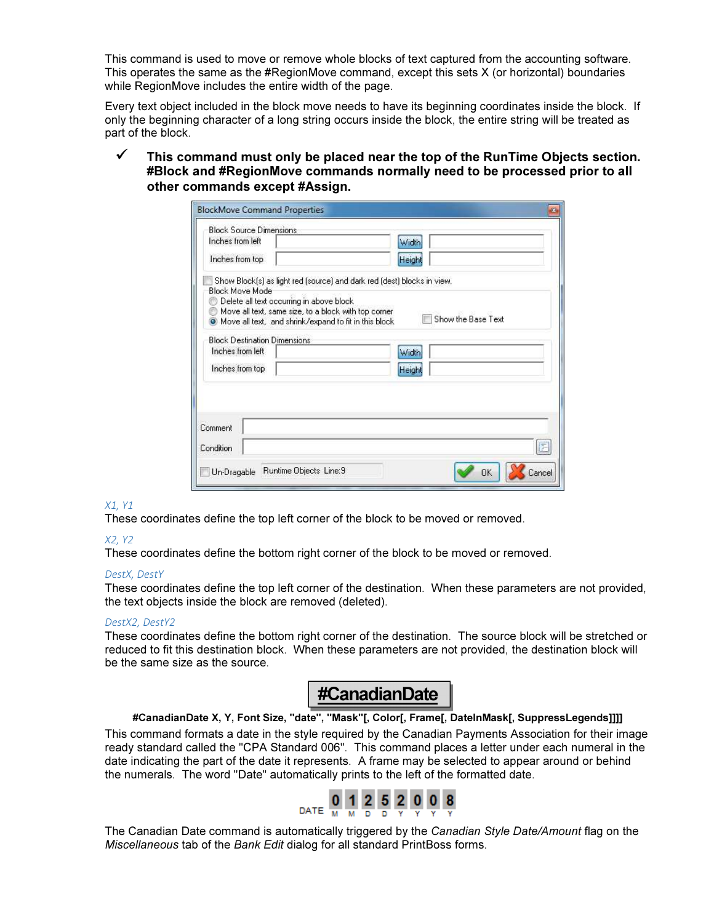This command is used to move or remove whole blocks of text captured from the accounting software. This operates the same as the #RegionMove command, except this sets X (or horizontal) boundaries while RegionMove includes the entire width of the page.

Every text object included in the block move needs to have its beginning coordinates inside the block. If only the beginning character of a long string occurs inside the block, the entire string will be treated as part of the block.

 $\checkmark$  This command must only be placed near the top of the RunTime Objects section. #Block and #RegionMove commands normally need to be processed prior to all other commands except #Assign.

| <b>BlockMove Command Properties</b>                                                              | $\mathbf{E}$       |
|--------------------------------------------------------------------------------------------------|--------------------|
| <b>Block Source Dimensions</b>                                                                   |                    |
| Inches from left                                                                                 | Width              |
| Inches from top                                                                                  | Height             |
| Show Block(s) as light red (source) and dark red (dest) blocks in view.                          |                    |
| <b>Block Move Mode</b>                                                                           |                    |
| Delete all text occurring in above block<br>Move all text, same size, to a block with top corner |                    |
| O Move all text, and shrink/expand to fit in this block                                          | Show the Base Text |
| <b>Block Destination Dimensions</b>                                                              |                    |
| Inches from left                                                                                 | Width              |
| Inches from top                                                                                  | Heigh              |
|                                                                                                  |                    |
|                                                                                                  |                    |
|                                                                                                  |                    |
| Comment                                                                                          |                    |
|                                                                                                  |                    |
| Condition                                                                                        |                    |
| Runtime Objects Line:9<br>Un-Dragable                                                            | Cancel<br>ПK       |

#### X1, Y1

These coordinates define the top left corner of the block to be moved or removed.

#### X2, Y2

These coordinates define the bottom right corner of the block to be moved or removed.

#### DestX, DestY

These coordinates define the top left corner of the destination. When these parameters are not provided, the text objects inside the block are removed (deleted).

#### DestX2, DestY2

These coordinates define the bottom right corner of the destination. The source block will be stretched or reduced to fit this destination block. When these parameters are not provided, the destination block will be the same size as the source.



#### #CanadianDate X, Y, Font Size, "date", "Mask"[, Color[, Frame[, DateInMask[, SuppressLegends]]]]

This command formats a date in the style required by the Canadian Payments Association for their image ready standard called the "CPA Standard 006". This command places a letter under each numeral in the date indicating the part of the date it represents. A frame may be selected to appear around or behind the numerals. The word "Date" automatically prints to the left of the formatted date.



The Canadian Date command is automatically triggered by the Canadian Style Date/Amount flag on the Miscellaneous tab of the Bank Edit dialog for all standard PrintBoss forms.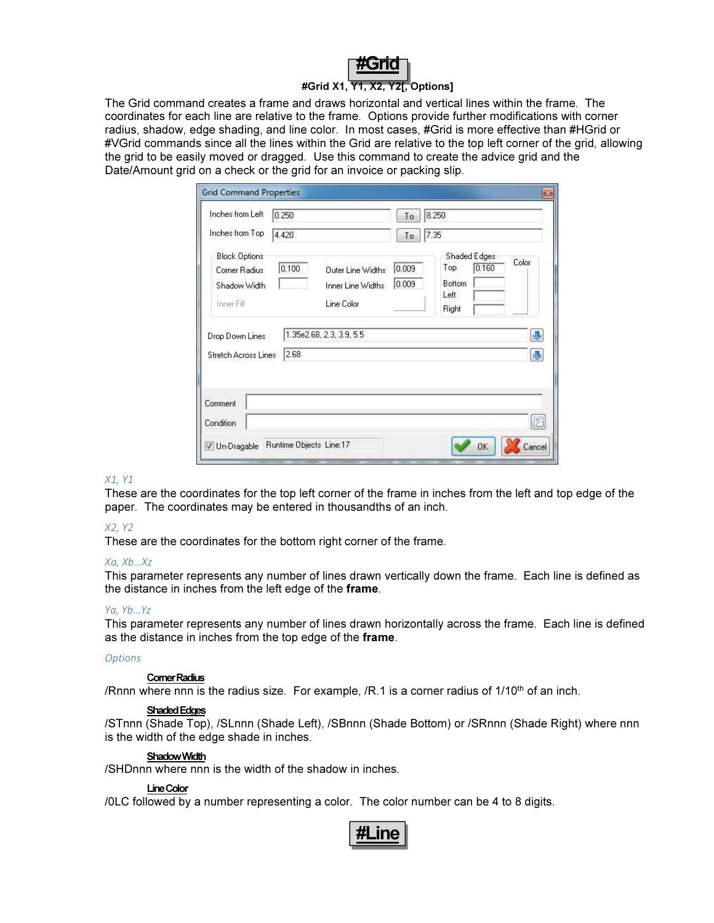

#### #Grid X1, Y1, X2, Y2[, Options]

The Grid command creates a frame and draws horizontal and vertical lines within the frame. The coordinates for each line are relative to the frame. Options provide further modifications with corner radius, shadow, edge shading, and line color. In most cases, #Grid is more effective than #HGrid or #VGrid commands since all the lines within the Grid are relative to the top left corner of the grid, allowing the grid to be easily moved or dragged. Use this command to create the advice grid and the Date/Amount grid on a check or the grid for an invoice or packing slip.

| Inches from Left<br>0.250<br>Inches from Top<br>4.420                               |                                                      | To<br>To       | 8.250<br>7.35                                                  |       |
|-------------------------------------------------------------------------------------|------------------------------------------------------|----------------|----------------------------------------------------------------|-------|
| <b>Block Options</b><br>0.100<br>Corner Radius<br>Shadow Width<br><b>Inner Fill</b> | Outer Line Widths<br>Inner Line Widths<br>Line Color | 0.009<br>0.009 | Shaded Edges<br>0.160<br>Top<br><b>Bottom</b><br>Left<br>Right | Color |
| Drop Down Lines<br>2.68<br>Stretch Across Lines                                     | 1.35e2.68, 2.3, 3.9, 5.5                             |                |                                                                | IJ    |
| Comment<br>Condition                                                                |                                                      |                |                                                                |       |

#### X1, Y1

These are the coordinates for the top left corner of the frame in inches from the left and top edge of the paper. The coordinates may be entered in thousandths of an inch.

#### X2, Y2

These are the coordinates for the bottom right corner of the frame.

#### Xa, Xb…Xz

This parameter represents any number of lines drawn vertically down the frame. Each line is defined as the distance in inches from the left edge of the frame.

#### Ya, Yb…Yz

This parameter represents any number of lines drawn horizontally across the frame. Each line is defined as the distance in inches from the top edge of the frame.

#### **Options**

#### Corner Radius

/Rnnn where nnn is the radius size. For example,  $/R.1$  is a corner radius of  $1/10<sup>th</sup>$  of an inch.

#### Shaded Edges

/STnnn (Shade Top), /SLnnn (Shade Left), /SBnnn (Shade Bottom) or /SRnnn (Shade Right) where nnn is the width of the edge shade in inches.

#### Shadow Width

/SHDnnn where nnn is the width of the shadow in inches.

#### Line Color

/0LC followed by a number representing a color. The color number can be 4 to 8 digits.

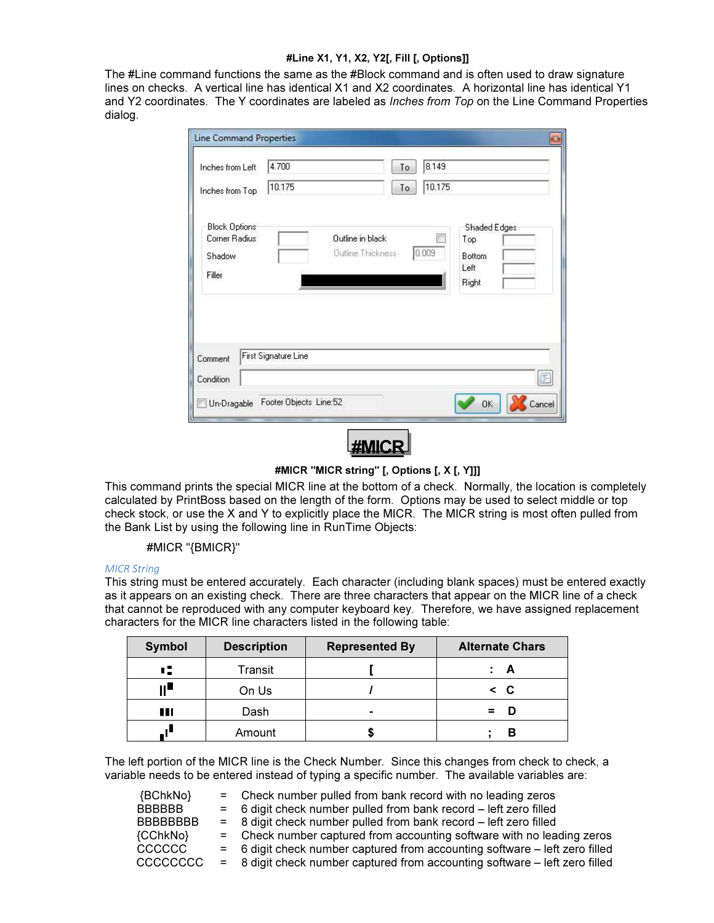#### #Line X1, Y1, X2, Y2[, Fill [, Options]]

The #Line command functions the same as the #Block command and is often used to draw signature lines on checks. A vertical line has identical X1 and X2 coordinates. A horizontal line has identical Y1 and Y2 coordinates. The Y coordinates are labeled as *Inches from Top* on the Line Command Properties dialog.

| Inches from Left<br>Inches from Top                       | 4.700<br>10.175                              | 8.149<br>To<br>10.175<br>To                                    |   |
|-----------------------------------------------------------|----------------------------------------------|----------------------------------------------------------------|---|
| <b>Block Options</b><br>Corner Radius<br>Shadow<br>Filler | Outline in black<br><b>Outline Thickness</b> | Shaded Edges<br>Top<br>0.009<br><b>Bottom</b><br>Left<br>Right |   |
| Comment                                                   | First Signature Line                         |                                                                | E |
| Condition                                                 |                                              |                                                                |   |

#MICR "MICR string" [, Options [, X [, Y]]]

This command prints the special MICR line at the bottom of a check. Normally, the location is completely calculated by PrintBoss based on the length of the form. Options may be used to select middle or top check stock, or use the X and Y to explicitly place the MICR. The MICR string is most often pulled from the Bank List by using the following line in RunTime Objects:

#MICR "{BMICR}"

#### MICR String

This string must be entered accurately. Each character (including blank spaces) must be entered exactly as it appears on an existing check. There are three characters that appear on the MICR line of a check that cannot be reproduced with any computer keyboard key. Therefore, we have assigned replacement characters for the MICR line characters listed in the following table:

| Symbol | <b>Description</b> | <b>Represented By</b> | <b>Alternate Chars</b> |
|--------|--------------------|-----------------------|------------------------|
| н.     | Transit            |                       |                        |
| ll,    | On Us              |                       | $\leq$ C               |
| Ш      | Dash               | -                     | =                      |
|        | Amount             |                       |                        |

The left portion of the MICR line is the Check Number. Since this changes from check to check, a variable needs to be entered instead of typing a specific number. The available variables are:

| {BChkNo}        | $=$ Check number pulled from bank record with no leading zeros              |
|-----------------|-----------------------------------------------------------------------------|
| <b>BBBBBB</b>   | $=$ 6 digit check number pulled from bank record $-$ left zero filled       |
| <b>BBBBBBBB</b> | $=$ 8 digit check number pulled from bank record $-$ left zero filled       |
| {CChkNo}        | = Check number captured from accounting software with no leading zeros      |
| <b>CCCCCC</b>   | = 6 digit check number captured from accounting software – left zero filled |
| CCCCCCC         | = 8 digit check number captured from accounting software – left zero filled |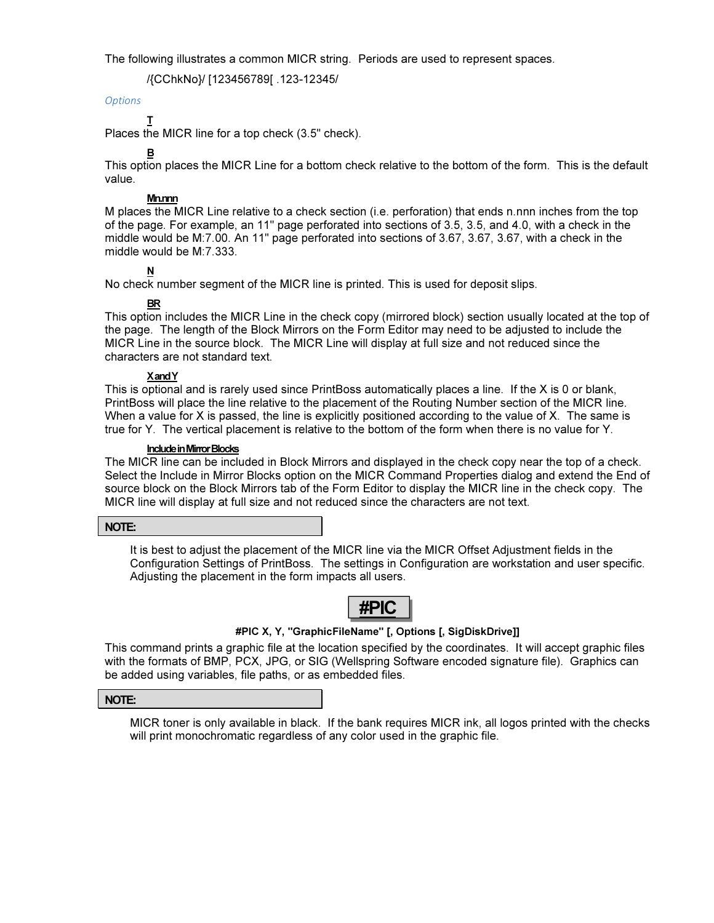The following illustrates a common MICR string. Periods are used to represent spaces.

/{CChkNo}/ [123456789[ .123-12345/

#### **Options**

T

Places the MICR line for a top check (3.5" check).

B This option places the MICR Line for a bottom check relative to the bottom of the form. This is the default value.

#### Mn.nnn

M places the MICR Line relative to a check section (i.e. perforation) that ends n.nnn inches from the top of the page. For example, an 11" page perforated into sections of 3.5, 3.5, and 4.0, with a check in the middle would be M:7.00. An 11" page perforated into sections of 3.67, 3.67, 3.67, with a check in the middle would be M:7.333.

#### N

No check number segment of the MICR line is printed. This is used for deposit slips.

#### BR

This option includes the MICR Line in the check copy (mirrored block) section usually located at the top of the page. The length of the Block Mirrors on the Form Editor may need to be adjusted to include the MICR Line in the source block. The MICR Line will display at full size and not reduced since the characters are not standard text.

#### X and Y

This is optional and is rarely used since PrintBoss automatically places a line. If the X is 0 or blank, PrintBoss will place the line relative to the placement of the Routing Number section of the MICR line. When a value for X is passed, the line is explicitly positioned according to the value of X. The same is true for Y. The vertical placement is relative to the bottom of the form when there is no value for Y.

#### Include in Mirror Blocks

The MICR line can be included in Block Mirrors and displayed in the check copy near the top of a check. Select the Include in Mirror Blocks option on the MICR Command Properties dialog and extend the End of source block on the Block Mirrors tab of the Form Editor to display the MICR line in the check copy. The MICR line will display at full size and not reduced since the characters are not text.

#### NOTE:

It is best to adjust the placement of the MICR line via the MICR Offset Adjustment fields in the Configuration Settings of PrintBoss. The settings in Configuration are workstation and user specific. Adjusting the placement in the form impacts all users.



#### #PIC X, Y, "GraphicFileName" [, Options [, SigDiskDrive]]

This command prints a graphic file at the location specified by the coordinates. It will accept graphic files with the formats of BMP, PCX, JPG, or SIG (Wellspring Software encoded signature file). Graphics can be added using variables, file paths, or as embedded files.

#### NOTE:

MICR toner is only available in black. If the bank requires MICR ink, all logos printed with the checks will print monochromatic regardless of any color used in the graphic file.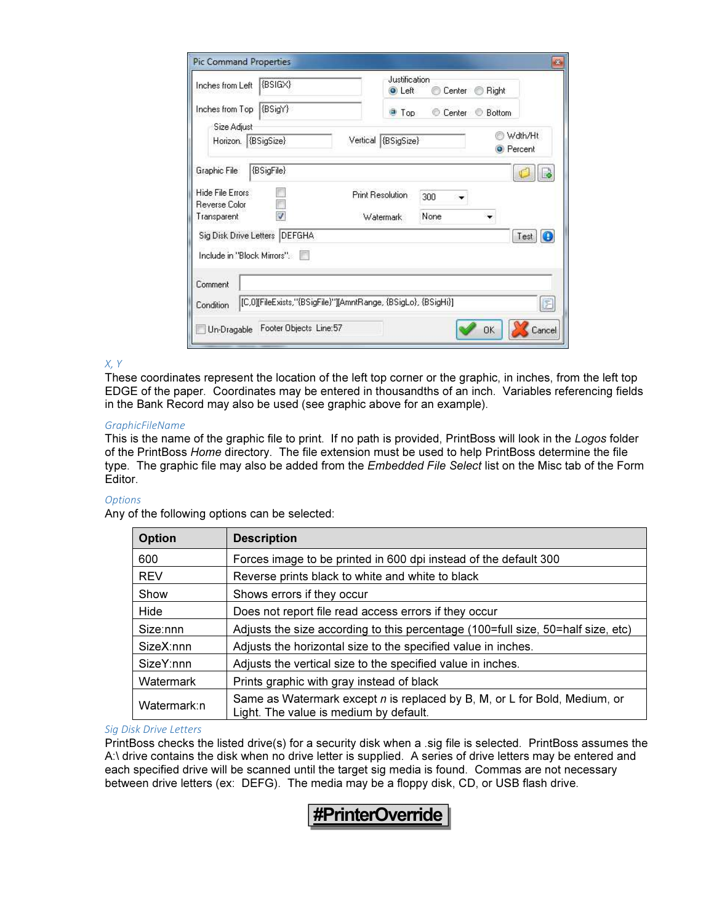| <b>Pic Command Properties</b>                                                 |          |                                |        |             | B                           |
|-------------------------------------------------------------------------------|----------|--------------------------------|--------|-------------|-----------------------------|
| {BSIGX}<br>Inches from Left                                                   |          | Justification<br><b>O</b> Left | Center | Right<br>66 |                             |
| $\{BSigY\}$<br>Inches from Top                                                |          | <b>Top</b>                     | Center | Bottom      |                             |
| Size Adjust                                                                   |          |                                |        |             |                             |
| Horizon. (BSigSize)                                                           | Vertical | (BSigSize)                     |        | 68          | Wdth/Ht<br><b>O</b> Percent |
| {BSigFile}<br>Graphic File:                                                   |          |                                |        |             |                             |
| Hide File Errors<br>Reverse Color                                             |          | <b>Print Resolution</b>        | 300    |             |                             |
| ÿ<br>Transparent                                                              |          | Watermark                      | None   |             |                             |
| Sig Disk Drive Letters   DEFGHA                                               |          |                                |        |             | Test<br>G                   |
| Include in "Block Mirrors".                                                   |          |                                |        |             |                             |
| Comment                                                                       |          |                                |        |             |                             |
| [[C,0][FileExists,''{BSigFile}''][AmntRange, {BSigLo}, {BSigHi}]<br>Condition |          |                                |        |             | 图                           |
| Footer Objects Line:57<br>Un-Dragable                                         |          |                                |        | <b>OK</b>   | Cancel                      |

#### X, Y

These coordinates represent the location of the left top corner or the graphic, in inches, from the left top EDGE of the paper. Coordinates may be entered in thousandths of an inch. Variables referencing fields in the Bank Record may also be used (see graphic above for an example).

#### GraphicFileName

This is the name of the graphic file to print. If no path is provided, PrintBoss will look in the Logos folder of the PrintBoss Home directory. The file extension must be used to help PrintBoss determine the file type. The graphic file may also be added from the *Embedded File Select* list on the Misc tab of the Form Editor.

#### **Options**

Any of the following options can be selected:

| <b>Option</b> | <b>Description</b>                                                                                                  |
|---------------|---------------------------------------------------------------------------------------------------------------------|
| 600           | Forces image to be printed in 600 dpi instead of the default 300                                                    |
| <b>REV</b>    | Reverse prints black to white and white to black                                                                    |
| Show          | Shows errors if they occur                                                                                          |
| Hide          | Does not report file read access errors if they occur                                                               |
| Size:nnn      | Adjusts the size according to this percentage (100=full size, 50=half size, etc)                                    |
| SizeX:nnn     | Adjusts the horizontal size to the specified value in inches.                                                       |
| SizeY:nnn     | Adjusts the vertical size to the specified value in inches.                                                         |
| Watermark     | Prints graphic with gray instead of black                                                                           |
| Watermark:n   | Same as Watermark except n is replaced by B, M, or L for Bold, Medium, or<br>Light. The value is medium by default. |

#### Sig Disk Drive Letters

PrintBoss checks the listed drive(s) for a security disk when a .sig file is selected. PrintBoss assumes the A:\ drive contains the disk when no drive letter is supplied. A series of drive letters may be entered and each specified drive will be scanned until the target sig media is found. Commas are not necessary between drive letters (ex: DEFG). The media may be a floppy disk, CD, or USB flash drive.

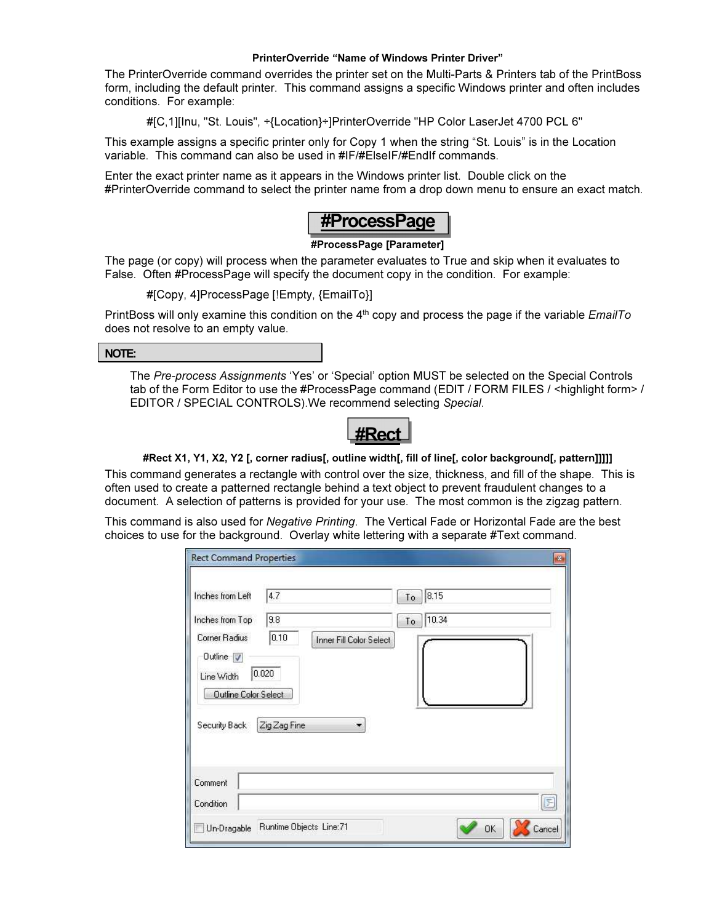#### PrinterOverride "Name of Windows Printer Driver"

The PrinterOverride command overrides the printer set on the Multi-Parts & Printers tab of the PrintBoss form, including the default printer. This command assigns a specific Windows printer and often includes conditions. For example:

#[C,1][Inu, "St. Louis", ÷{Location}÷]PrinterOverride "HP Color LaserJet 4700 PCL 6"

This example assigns a specific printer only for Copy 1 when the string "St. Louis" is in the Location variable. This command can also be used in #IF/#ElseIF/#EndIf commands.

Enter the exact printer name as it appears in the Windows printer list. Double click on the #PrinterOverride command to select the printer name from a drop down menu to ensure an exact match.



#### #ProcessPage [Parameter]

The page (or copy) will process when the parameter evaluates to True and skip when it evaluates to False. Often #ProcessPage will specify the document copy in the condition. For example:

#[Copy, 4]ProcessPage [!Empty, {EmailTo}]

PrintBoss will only examine this condition on the 4<sup>th</sup> copy and process the page if the variable *EmailTo* does not resolve to an empty value.

#### NOTE:

The Pre-process Assignments 'Yes' or 'Special' option MUST be selected on the Special Controls tab of the Form Editor to use the #ProcessPage command (EDIT / FORM FILES / <highlight form> / EDITOR / SPECIAL CONTROLS).We recommend selecting Special.

#Rect

#### #Rect X1, Y1, X2, Y2 [, corner radius[, outline width[, fill of line[, color background[, pattern]]]]]

This command generates a rectangle with control over the size, thickness, and fill of the shape. This is often used to create a patterned rectangle behind a text object to prevent fraudulent changes to a document. A selection of patterns is provided for your use. The most common is the zigzag pattern.

This command is also used for Negative Printing. The Vertical Fade or Horizontal Fade are the best choices to use for the background. Overlay white lettering with a separate #Text command.

| Inches from Left     | 4.7          |                         | 8.15<br>To  |   |
|----------------------|--------------|-------------------------|-------------|---|
| Inches from Top      | 9.8          |                         | 10.34<br>To |   |
| Corner Radius        | 0.10         | Inner Fill Color Select |             |   |
| Outline $\sqrt{}$    |              |                         |             |   |
| Line Width           | 0.020        |                         |             |   |
| Outline Color Select |              |                         |             |   |
| Security Back        | Zig Zag Fine |                         |             |   |
|                      |              |                         |             |   |
|                      |              |                         |             |   |
| Comment              |              |                         |             |   |
|                      |              |                         |             | E |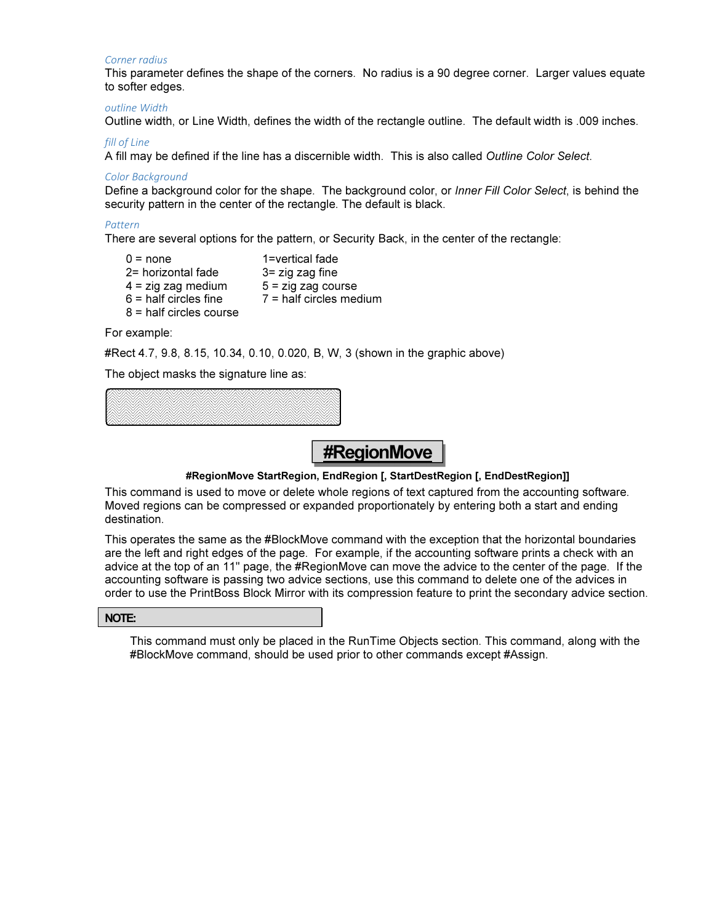#### Corner radius

This parameter defines the shape of the corners. No radius is a 90 degree corner. Larger values equate to softer edges.

#### outline Width

Outline width, or Line Width, defines the width of the rectangle outline. The default width is .009 inches.

#### fill of Line

A fill may be defined if the line has a discernible width. This is also called Outline Color Select.

#### Color Background

Define a background color for the shape. The background color, or Inner Fill Color Select, is behind the security pattern in the center of the rectangle. The default is black.

#### Pattern

There are several options for the pattern, or Security Back, in the center of the rectangle:

 $0 = none$  1=vertical fade  $2$ = horizontal fade  $3$ = zig zag fine  $4 = \text{zig zag medium}$   $5 = \text{zig zag course}$  $6$  = half circles fine  $7$  = half circles medium 8 = half circles course

For example:

#Rect 4.7, 9.8, 8.15, 10.34, 0.10, 0.020, B, W, 3 (shown in the graphic above)

The object masks the signature line as:



# #RegionMove

#### #RegionMove StartRegion, EndRegion [, StartDestRegion [, EndDestRegion]]

This command is used to move or delete whole regions of text captured from the accounting software. Moved regions can be compressed or expanded proportionately by entering both a start and ending destination.

This operates the same as the #BlockMove command with the exception that the horizontal boundaries are the left and right edges of the page. For example, if the accounting software prints a check with an advice at the top of an 11" page, the #RegionMove can move the advice to the center of the page. If the accounting software is passing two advice sections, use this command to delete one of the advices in order to use the PrintBoss Block Mirror with its compression feature to print the secondary advice section.

#### NOTE:

This command must only be placed in the RunTime Objects section. This command, along with the #BlockMove command, should be used prior to other commands except #Assign.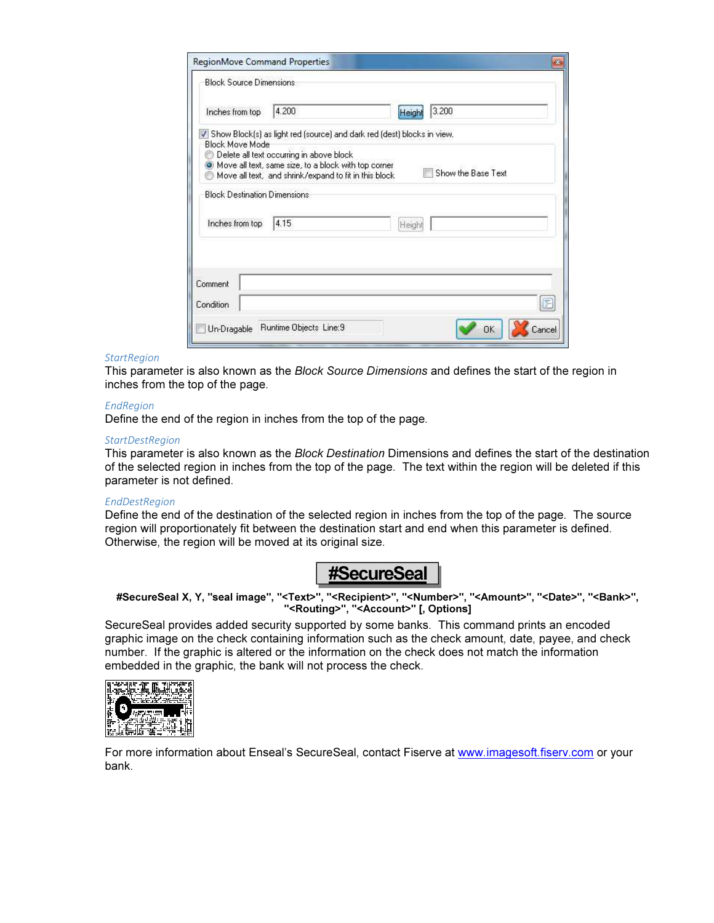| <b>Block Source Dimensions</b>      |                                                                                                                                                                                                                                        |        |                    |
|-------------------------------------|----------------------------------------------------------------------------------------------------------------------------------------------------------------------------------------------------------------------------------------|--------|--------------------|
| Inches from top                     | 4.200                                                                                                                                                                                                                                  | Heigh  | 3.200              |
| <b>Block Move Mode</b>              | Show Block(s) as light red (source) and dark red (dest) blocks in view.<br>Delete all text occurring in above block<br>O Move all text, same size, to a block with top corner<br>Move all text, and shrink/expand to fit in this block |        | Show the Base Text |
| <b>Block Destination Dimensions</b> |                                                                                                                                                                                                                                        |        |                    |
| Inches from top                     | 4.15                                                                                                                                                                                                                                   | Height |                    |
|                                     |                                                                                                                                                                                                                                        |        |                    |
|                                     |                                                                                                                                                                                                                                        |        |                    |
| Comment<br>Condition                |                                                                                                                                                                                                                                        |        | 臣                  |

#### **StartRegion**

This parameter is also known as the Block Source Dimensions and defines the start of the region in inches from the top of the page.

#### EndRegion

Define the end of the region in inches from the top of the page.

#### **StartDestRegion**

This parameter is also known as the Block Destination Dimensions and defines the start of the destination of the selected region in inches from the top of the page. The text within the region will be deleted if this parameter is not defined.

#### EndDestRegion

Define the end of the destination of the selected region in inches from the top of the page. The source region will proportionately fit between the destination start and end when this parameter is defined. Otherwise, the region will be moved at its original size.



#SecureSeal X, Y, "seal image", "<Text>", "<Recipient>", "<Number>", "<Amount>", "<Date>", "<Bank>", "<Routing>", "<Account>" [, Options]

SecureSeal provides added security supported by some banks. This command prints an encoded graphic image on the check containing information such as the check amount, date, payee, and check number. If the graphic is altered or the information on the check does not match the information embedded in the graphic, the bank will not process the check.



For more information about Enseal's SecureSeal, contact Fiserve at www.imagesoft.fiserv.com or your bank.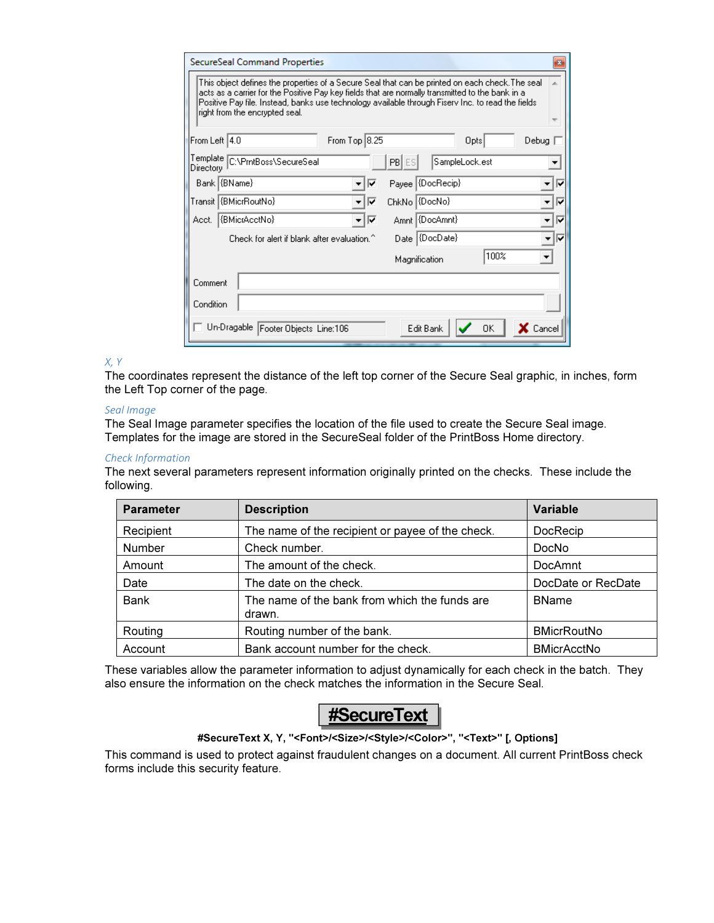|                                                                                                                                                                                                                                                                                                                                            | SecureSeal Command Properties<br>器                                    |  |  |  |
|--------------------------------------------------------------------------------------------------------------------------------------------------------------------------------------------------------------------------------------------------------------------------------------------------------------------------------------------|-----------------------------------------------------------------------|--|--|--|
| This object defines the properties of a Secure Seal that can be printed on each check. The seal<br>acts as a carrier for the Positive Pay key fields that are normally transmitted to the bank in a<br>Positive Pay file, Instead, banks use technology available through Fisery Inc. to read the fields<br>right from the encrypted seal. |                                                                       |  |  |  |
| From Left 4.0                                                                                                                                                                                                                                                                                                                              | From Top 8.25<br>Debug<br>Opts                                        |  |  |  |
| Directory                                                                                                                                                                                                                                                                                                                                  | Template C:\PmtBoss\SecureSeal<br>SampleLock.est<br><b>PBIES</b><br>▼ |  |  |  |
|                                                                                                                                                                                                                                                                                                                                            | Bank {BName}<br>Payee (DocRecip)<br>⊽<br>⊽                            |  |  |  |
|                                                                                                                                                                                                                                                                                                                                            | Transit   {BMicrRoutNo}<br>ChkNo (DocNo)<br>⊽<br>⊽                    |  |  |  |
| Acct.                                                                                                                                                                                                                                                                                                                                      | Amnt (DocAmnt)<br>{BMicrAcctNo}<br>⊽<br>⊽                             |  |  |  |
|                                                                                                                                                                                                                                                                                                                                            | Date (DocDate)<br>Check for alert if blank after evaluation.^<br>– I⊽ |  |  |  |
|                                                                                                                                                                                                                                                                                                                                            | 100%<br>Magnification                                                 |  |  |  |
| Comment                                                                                                                                                                                                                                                                                                                                    |                                                                       |  |  |  |
| Condition                                                                                                                                                                                                                                                                                                                                  |                                                                       |  |  |  |
|                                                                                                                                                                                                                                                                                                                                            | Un-Dragable Footer Objects Line:106<br>X Cancel<br>Edit Bank<br>0K    |  |  |  |

#### X, Y

The coordinates represent the distance of the left top corner of the Secure Seal graphic, in inches, form the Left Top corner of the page.

#### Seal Image

The Seal Image parameter specifies the location of the file used to create the Secure Seal image. Templates for the image are stored in the SecureSeal folder of the PrintBoss Home directory.

#### Check Information

The next several parameters represent information originally printed on the checks. These include the following.

| <b>Parameter</b> | <b>Description</b>                                      | <b>Variable</b>    |
|------------------|---------------------------------------------------------|--------------------|
| Recipient        | The name of the recipient or payee of the check.        | DocRecip           |
| Number           | Check number.                                           | DocNo              |
| Amount           | The amount of the check.                                | DocAmnt            |
| Date             | The date on the check.                                  | DocDate or RecDate |
| <b>Bank</b>      | The name of the bank from which the funds are<br>drawn. | <b>BName</b>       |
| Routing          | Routing number of the bank.                             | <b>BMicrRoutNo</b> |
| Account          | Bank account number for the check.                      | <b>BMicrAcctNo</b> |

These variables allow the parameter information to adjust dynamically for each check in the batch. They also ensure the information on the check matches the information in the Secure Seal.



#### #SecureText X, Y, "<Font>/<Size>/<Style>/<Color>", "<Text>" [, Options]

This command is used to protect against fraudulent changes on a document. All current PrintBoss check forms include this security feature.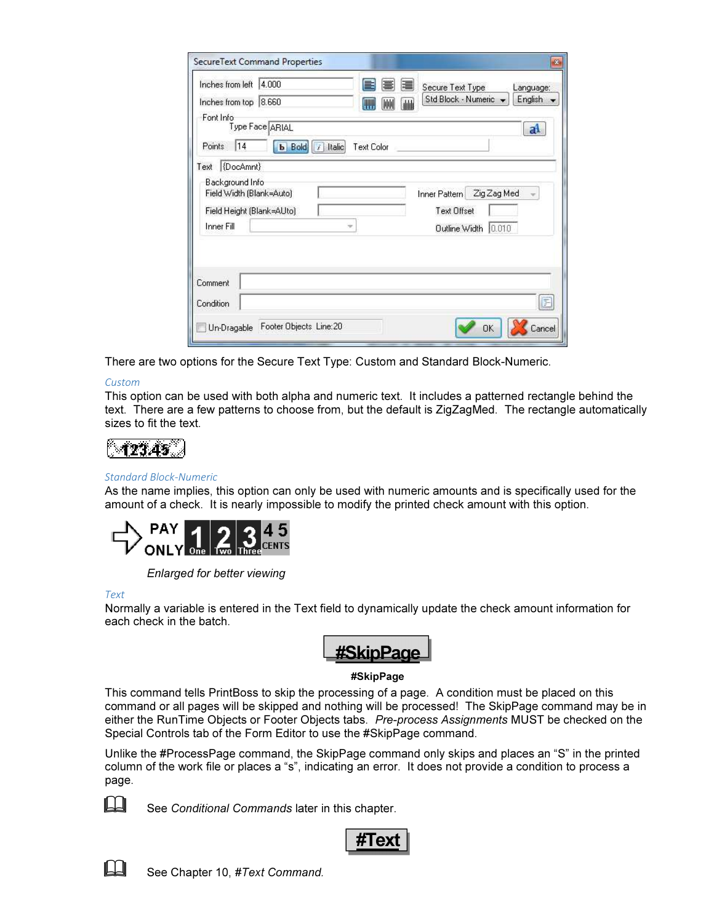| 4.000<br>Inches from left                                                              | E<br>建<br>Secure Text Type<br>Language:<br>Std Block - Numeric<br>English |
|----------------------------------------------------------------------------------------|---------------------------------------------------------------------------|
| Inches from top 8.660<br>Font Info                                                     | W<br>画<br>ulili                                                           |
| Type Face ARIAL                                                                        | a                                                                         |
| 14<br>Points<br><b>b</b> Bold                                                          | $\vert$ / Italic<br><b>Text Color</b>                                     |
| (DocAmnt)<br>Text                                                                      |                                                                           |
| Background Info<br>Field Width (Blank=Auto)<br>Field Height (Blank=AUto)<br>Inner Fill | Zig Zag Med<br>Inner Pattern<br><b>Text Offset</b><br>Outline Width 0.010 |
|                                                                                        |                                                                           |
|                                                                                        |                                                                           |
|                                                                                        |                                                                           |
| Comment<br>Condition                                                                   | E                                                                         |

There are two options for the Secure Text Type: Custom and Standard Block-Numeric.

#### Custom

This option can be used with both alpha and numeric text. It includes a patterned rectangle behind the text. There are a few patterns to choose from, but the default is ZigZagMed. The rectangle automatically sizes to fit the text.

#### Standard Block-Numeric

As the name implies, this option can only be used with numeric amounts and is specifically used for the amount of a check. It is nearly impossible to modify the printed check amount with this option.



Enlarged for better viewing

Text

Normally a variable is entered in the Text field to dynamically update the check amount information for each check in the batch.



#### #SkipPage

This command tells PrintBoss to skip the processing of a page. A condition must be placed on this command or all pages will be skipped and nothing will be processed! The SkipPage command may be in either the RunTime Objects or Footer Objects tabs. Pre-process Assignments MUST be checked on the Special Controls tab of the Form Editor to use the #SkipPage command.

Unlike the #ProcessPage command, the SkipPage command only skips and places an "S" in the printed column of the work file or places a "s", indicating an error. It does not provide a condition to process a page.



**LA** See Conditional Commands later in this chapter.





See Chapter 10, #Text Command.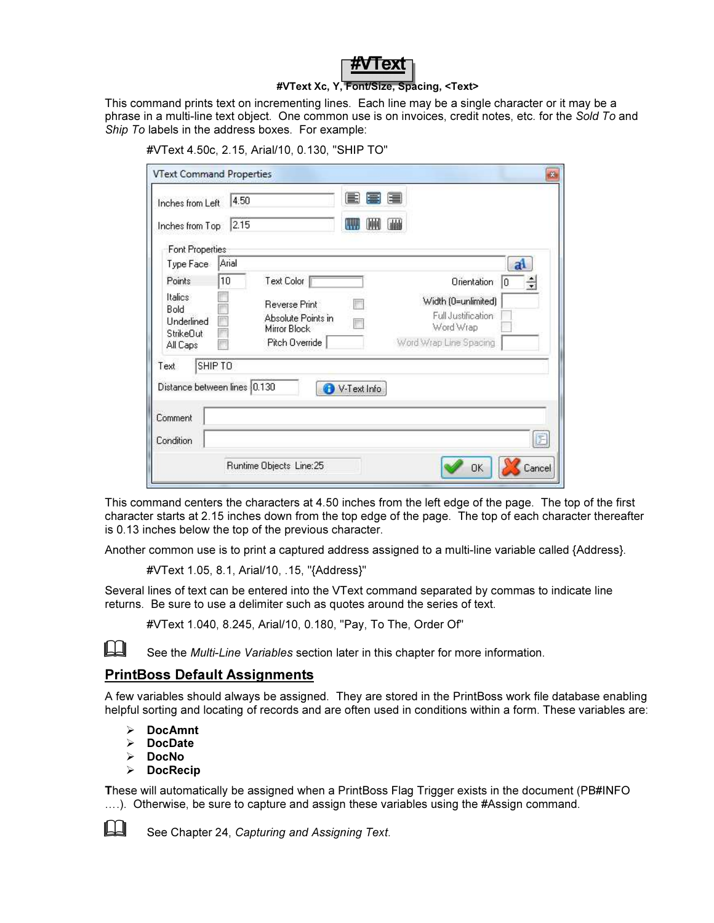

#### #VText Xc, Y, Font/Size, Spacing, <Text>

This command prints text on incrementing lines. Each line may be a single character or it may be a phrase in a multi-line text object. One common use is on invoices, credit notes, etc. for the Sold To and Ship To labels in the address boxes. For example:

 $\overline{33}$ 

F

Cancel

In

Word Wrap

**OK** 

Word Wrap Line Spacing

| <b>VText Command Properties</b> |       |                      |                    |                                       |
|---------------------------------|-------|----------------------|--------------------|---------------------------------------|
| Inches from Left                | 4.50  |                      | 国富昌                |                                       |
| Inches from Top                 | 2.15  |                      | IUUL<br>TW<br>dddi |                                       |
| Font Properties                 |       |                      |                    |                                       |
| Type Face                       | Arial |                      |                    |                                       |
| Points                          | 10    | Text Color           |                    | Orientation                           |
| Italics                         |       | <b>Reverse Print</b> |                    | Width (0=unlimited)                   |
| Bold<br>Underlined              |       | Absolute Points in   |                    | Full Justification<br>ちょうどう しょうしょうしょう |

Mirror Block

Runtime Objects Line:25

Pitch Override

#VText 4.50c, 2.15, Arial/10, 0.130, "SHIP TO"

This command centers the characters at 4.50 inches from the left edge of the page. The top of the first character starts at 2.15 inches down from the top edge of the page. The top of each character thereafter is 0.13 inches below the top of the previous character.

Another common use is to print a captured address assigned to a multi-line variable called {Address}.

V-Text Info

#VText 1.05, 8.1, Arial/10, .15, "{Address}"

Several lines of text can be entered into the VText command separated by commas to indicate line returns. Be sure to use a delimiter such as quotes around the series of text.

#VText 1.040, 8.245, Arial/10, 0.180, "Pay, To The, Order Of"



See the *Multi-Line Variables* section later in this chapter for more information.

#### PrintBoss Default Assignments

StrikeDut

SHIP TO

Distance between lines 0.130

All Caps

Text

Comment

Condition

A few variables should always be assigned. They are stored in the PrintBoss work file database enabling helpful sorting and locating of records and are often used in conditions within a form. These variables are:

- $\triangleright$  DocAmnt
- $\triangleright$  DocDate
- > DocNo
- $\triangleright$  DocRecip

These will automatically be assigned when a PrintBoss Flag Trigger exists in the document (PB#INFO ....). Otherwise, be sure to capture and assign these variables using the #Assign command.



See Chapter 24, Capturing and Assigning Text.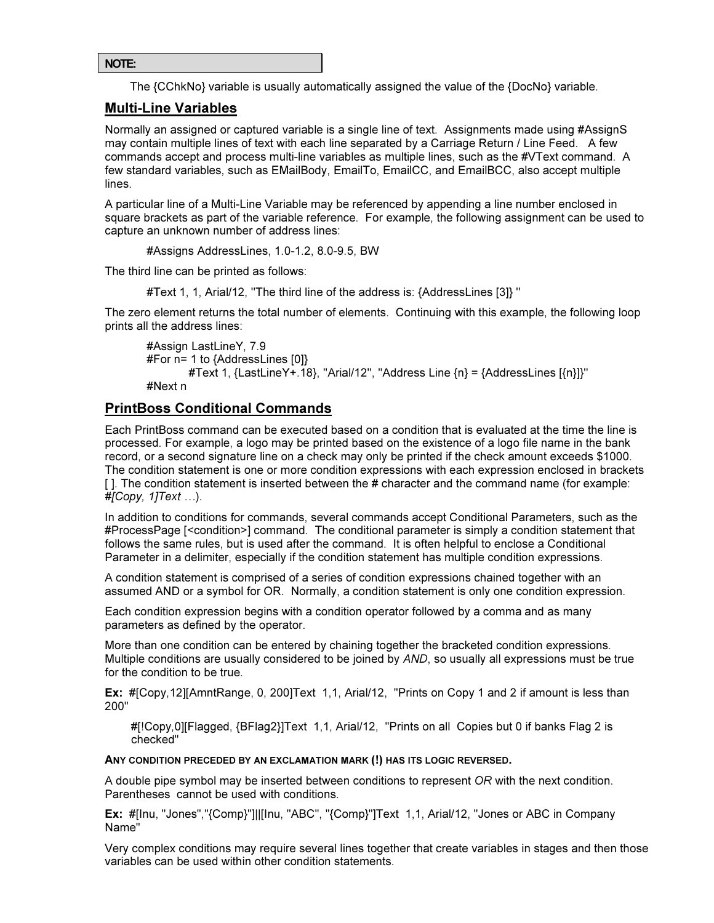```
NOTE:
```
The {CChkNo} variable is usually automatically assigned the value of the {DocNo} variable.

#### Multi-Line Variables

Normally an assigned or captured variable is a single line of text. Assignments made using #AssignS may contain multiple lines of text with each line separated by a Carriage Return / Line Feed. A few commands accept and process multi-line variables as multiple lines, such as the #VText command. A few standard variables, such as EMailBody, EmailTo, EmailCC, and EmailBCC, also accept multiple lines.

A particular line of a Multi-Line Variable may be referenced by appending a line number enclosed in square brackets as part of the variable reference. For example, the following assignment can be used to capture an unknown number of address lines:

#Assigns AddressLines, 1.0-1.2, 8.0-9.5, BW

The third line can be printed as follows:

#Text 1, 1, Arial/12, ''The third line of the address is: {AddressLines [3]} ''

The zero element returns the total number of elements. Continuing with this example, the following loop prints all the address lines:

```
 #Assign LastLineY, 7.9 
#For n= 1 to {AddressLines [0]} 
       #Text 1, {LastLineY+.18}, "Arial/12", "Address Line \{n\} = \{AddressLines [\{n\}]\}'"
#Next n
```
#### PrintBoss Conditional Commands

Each PrintBoss command can be executed based on a condition that is evaluated at the time the line is processed. For example, a logo may be printed based on the existence of a logo file name in the bank record, or a second signature line on a check may only be printed if the check amount exceeds \$1000. The condition statement is one or more condition expressions with each expression enclosed in brackets [ ]. The condition statement is inserted between the # character and the command name (for example:  $#[Copy, 1] Text ...$ ).

In addition to conditions for commands, several commands accept Conditional Parameters, such as the #ProcessPage [<condition>] command. The conditional parameter is simply a condition statement that follows the same rules, but is used after the command. It is often helpful to enclose a Conditional Parameter in a delimiter, especially if the condition statement has multiple condition expressions.

A condition statement is comprised of a series of condition expressions chained together with an assumed AND or a symbol for OR. Normally, a condition statement is only one condition expression.

Each condition expression begins with a condition operator followed by a comma and as many parameters as defined by the operator.

More than one condition can be entered by chaining together the bracketed condition expressions. Multiple conditions are usually considered to be joined by AND, so usually all expressions must be true for the condition to be true.

Ex: #[Copy,12][AmntRange, 0, 200]Text 1,1, Arial/12, "Prints on Copy 1 and 2 if amount is less than 200"

#[!Copy,0][Flagged, {BFlag2}]Text 1,1, Arial/12, "Prints on all Copies but 0 if banks Flag 2 is checked"

ANY CONDITION PRECEDED BY AN EXCLAMATION MARK (!) HAS ITS LOGIC REVERSED.

A double pipe symbol may be inserted between conditions to represent OR with the next condition. Parentheses cannot be used with conditions.

Ex: #[Inu, "Jones","{Comp}"]||[Inu, "ABC", "{Comp}"]Text 1,1, Arial/12, "Jones or ABC in Company Name"

Very complex conditions may require several lines together that create variables in stages and then those variables can be used within other condition statements.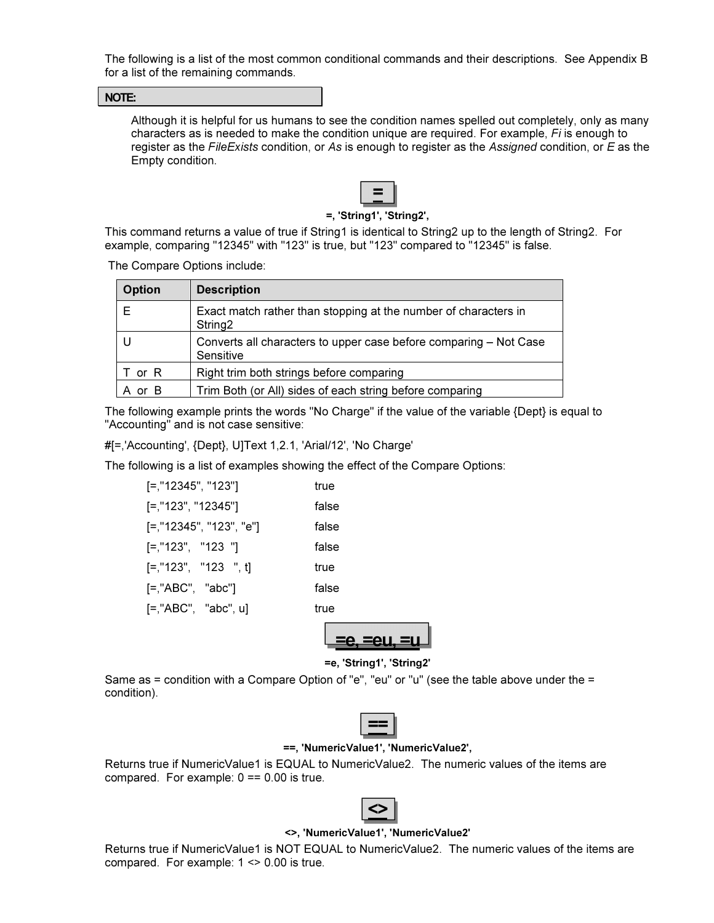The following is a list of the most common conditional commands and their descriptions. See Appendix B for a list of the remaining commands.

#### NOTE:

Although it is helpful for us humans to see the condition names spelled out completely, only as many characters as is needed to make the condition unique are required. For example, Fi is enough to register as the FileExists condition, or As is enough to register as the Assigned condition, or E as the Empty condition.



#### =, 'String1', 'String2',

This command returns a value of true if String1 is identical to String2 up to the length of String2. For example, comparing "12345" with "123" is true, but "123" compared to "12345" is false.

The Compare Options include:

| <b>Option</b> | <b>Description</b>                                                                     |
|---------------|----------------------------------------------------------------------------------------|
| Е             | Exact match rather than stopping at the number of characters in<br>String <sub>2</sub> |
|               | Converts all characters to upper case before comparing - Not Case<br>Sensitive         |
| T or R        | Right trim both strings before comparing                                               |
| or B          | Trim Both (or All) sides of each string before comparing                               |

The following example prints the words "No Charge" if the value of the variable {Dept} is equal to "Accounting" and is not case sensitive:

#[=,'Accounting', {Dept}, U]Text 1,2.1, 'Arial/12', 'No Charge'

The following is a list of examples showing the effect of the Compare Options:

| [=,"12345", "123"]      | true  |
|-------------------------|-------|
| [=,"123", "12345"]      | false |
| [=,"12345", "123", "e"] | false |
| $[-, "123", "123"]$     | false |
| $[-, "123", "123", t]$  | true  |
| $[=$ ,"ABC", "abc"]     | false |
| $[=$ ,"ABC", "abc", u]  | true  |
|                         |       |



=e, 'String1', 'String2'

Same as = condition with a Compare Option of "e", "eu" or "u" (see the table above under the = condition).



#### ==, 'NumericValue1', 'NumericValue2',

Returns true if NumericValue1 is EQUAL to NumericValue2. The numeric values of the items are compared. For example:  $0 == 0.00$  is true.



#### <>, 'NumericValue1', 'NumericValue2'

Returns true if NumericValue1 is NOT EQUAL to NumericValue2. The numeric values of the items are compared. For example: 1 <> 0.00 is true.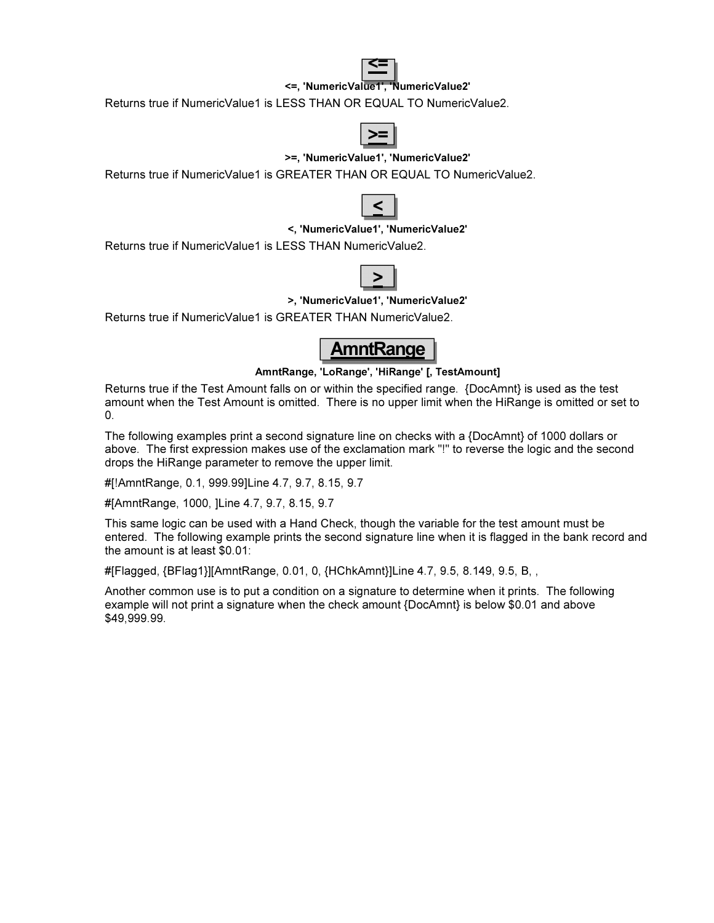

<=, 'NumericValue1', 'NumericValue2'

Returns true if NumericValue1 is LESS THAN OR EQUAL TO NumericValue2.



#### >=, 'NumericValue1', 'NumericValue2'

Returns true if NumericValue1 is GREATER THAN OR EQUAL TO NumericValue2.



#### <, 'NumericValue1', 'NumericValue2'

Returns true if NumericValue1 is LESS THAN NumericValue2.



#### >, 'NumericValue1', 'NumericValue2'

Returns true if NumericValue1 is GREATER THAN NumericValue2.



#### AmntRange, 'LoRange', 'HiRange' [, TestAmount]

Returns true if the Test Amount falls on or within the specified range. {DocAmnt} is used as the test amount when the Test Amount is omitted. There is no upper limit when the HiRange is omitted or set to 0.

The following examples print a second signature line on checks with a {DocAmnt} of 1000 dollars or above. The first expression makes use of the exclamation mark "!" to reverse the logic and the second drops the HiRange parameter to remove the upper limit.

#[!AmntRange, 0.1, 999.99]Line 4.7, 9.7, 8.15, 9.7

#[AmntRange, 1000, ]Line 4.7, 9.7, 8.15, 9.7

This same logic can be used with a Hand Check, though the variable for the test amount must be entered. The following example prints the second signature line when it is flagged in the bank record and the amount is at least \$0.01:

#[Flagged, {BFlag1}][AmntRange, 0.01, 0, {HChkAmnt}]Line 4.7, 9.5, 8.149, 9.5, B, ,

Another common use is to put a condition on a signature to determine when it prints. The following example will not print a signature when the check amount {DocAmnt} is below \$0.01 and above \$49,999.99.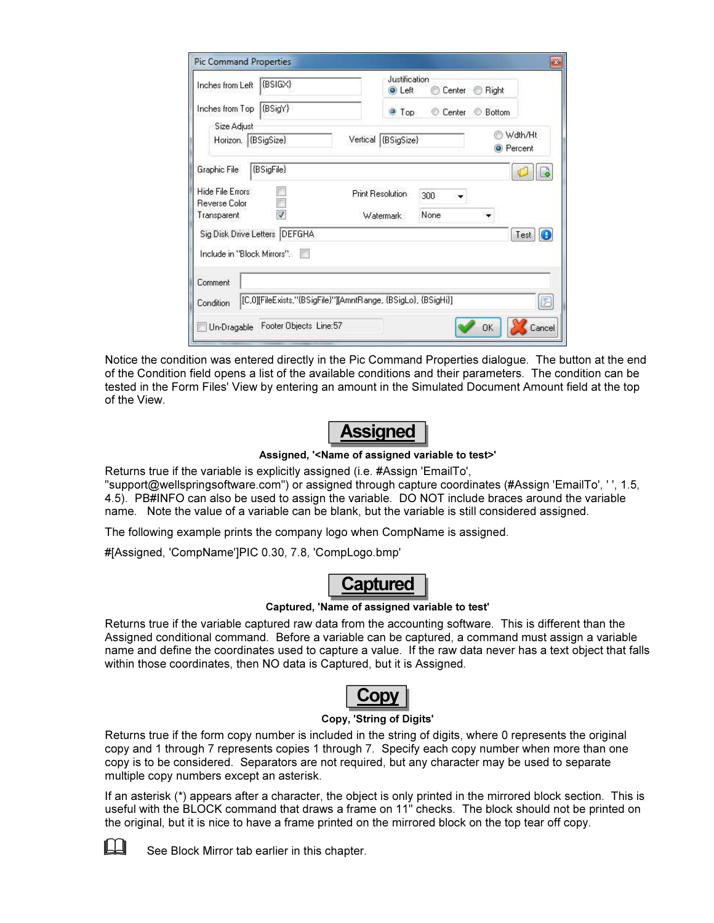| {BSIGX}<br>Inches from Left                                                   |          | Justification<br><b>O</b> Left | Center | Right<br>66      |           |
|-------------------------------------------------------------------------------|----------|--------------------------------|--------|------------------|-----------|
| {BSigY}<br>Inches from Top                                                    |          | <b>Top</b>                     |        | Center Bottom    |           |
| Size Adjust<br>Horizon. (BSigSize)                                            | Vertical | (BSigSize)                     |        | <b>O</b> Percent | Wdth/Ht   |
| {BSigFile}<br>Graphic File                                                    |          |                                |        |                  |           |
| Hide File Errors:                                                             |          | <b>Print Resolution</b>        | 300    |                  |           |
| Reverse Color<br>Transparent                                                  |          | Watermark                      | None   |                  |           |
| Sig Disk Drive Letters   DEFGHA                                               |          |                                |        |                  | Test<br>Œ |
| Include in "Block Mirrors".                                                   |          |                                |        |                  |           |
| Comment                                                                       |          |                                |        |                  |           |
| [[C,O][FileExists,''{BSigFile}''][AmntRange, {BSigLo}, {BSigHi}]<br>Condition |          |                                |        |                  | E         |
| Footer Objects Line:57<br>Un-Dragable                                         |          |                                |        | 0K               | Cancel    |

Notice the condition was entered directly in the Pic Command Properties dialogue. The button at the end of the Condition field opens a list of the available conditions and their parameters. The condition can be tested in the Form Files' View by entering an amount in the Simulated Document Amount field at the top of the View.



Assigned, '<Name of assigned variable to test>'

Returns true if the variable is explicitly assigned (i.e. #Assign 'EmailTo', "support@wellspringsoftware.com") or assigned through capture coordinates (#Assign 'EmailTo', ' ', 1.5, 4.5). PB#INFO can also be used to assign the variable. DO NOT include braces around the variable name. Note the value of a variable can be blank, but the variable is still considered assigned.

The following example prints the company logo when CompName is assigned.

#[Assigned, 'CompName']PIC 0.30, 7.8, 'CompLogo.bmp'



#### Captured, 'Name of assigned variable to test'

Returns true if the variable captured raw data from the accounting software. This is different than the Assigned conditional command. Before a variable can be captured, a command must assign a variable name and define the coordinates used to capture a value. If the raw data never has a text object that falls within those coordinates, then NO data is Captured, but it is Assigned.



#### Copy, 'String of Digits'

Returns true if the form copy number is included in the string of digits, where 0 represents the original copy and 1 through 7 represents copies 1 through 7. Specify each copy number when more than one copy is to be considered. Separators are not required, but any character may be used to separate multiple copy numbers except an asterisk.

If an asterisk (\*) appears after a character, the object is only printed in the mirrored block section. This is useful with the BLOCK command that draws a frame on 11" checks. The block should not be printed on the original, but it is nice to have a frame printed on the mirrored block on the top tear off copy.



 $\Box$  See Block Mirror tab earlier in this chapter.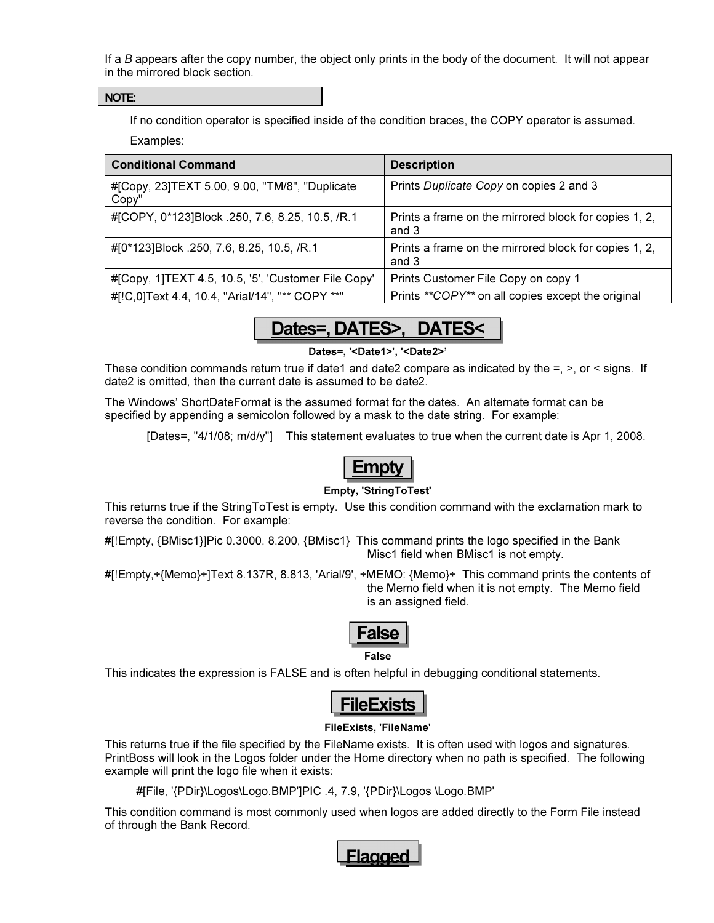If a B appears after the copy number, the object only prints in the body of the document. It will not appear in the mirrored block section.

#### NOTE:

If no condition operator is specified inside of the condition braces, the COPY operator is assumed.

Examples:

| <b>Conditional Command</b>                              | <b>Description</b>                                             |
|---------------------------------------------------------|----------------------------------------------------------------|
| #[Copy, 23]TEXT 5.00, 9.00, "TM/8", "Duplicate<br>Copy" | Prints Duplicate Copy on copies 2 and 3                        |
| #[COPY, 0*123]Block .250, 7.6, 8.25, 10.5, /R.1         | Prints a frame on the mirrored block for copies 1, 2,<br>and 3 |
| #[0*123]Block .250, 7.6, 8.25, 10.5, /R.1               | Prints a frame on the mirrored block for copies 1, 2,<br>and 3 |
| #[Copy, 1]TEXT 4.5, 10.5, '5', 'Customer File Copy'     | Prints Customer File Copy on copy 1                            |
| #[!C,0]Text 4.4, 10.4, "Arial/14", "** COPY **"         | Prints **COPY** on all copies except the original              |



Dates=, '<Date1>', '<Date2>'

These condition commands return true if date1 and date2 compare as indicated by the  $=$ ,  $>$ , or  $\le$  signs. If date2 is omitted, then the current date is assumed to be date2.

The Windows' ShortDateFormat is the assumed format for the dates. An alternate format can be specified by appending a semicolon followed by a mask to the date string. For example:

[Dates=, "4/1/08; m/d/y"] This statement evaluates to true when the current date is Apr 1, 2008.



#### Empty, 'StringToTest'

This returns true if the StringToTest is empty. Use this condition command with the exclamation mark to reverse the condition. For example:

#[!Empty, {BMisc1}]Pic 0.3000, 8.200, {BMisc1} This command prints the logo specified in the Bank Misc1 field when BMisc1 is not empty.

#[!Empty,÷{Memo}÷]Text 8.137R, 8.813, 'Arial/9', ÷MEMO: {Memo}÷ This command prints the contents of the Memo field when it is not empty. The Memo field is an assigned field.



This indicates the expression is FALSE and is often helpful in debugging conditional statements.



#### FileExists, 'FileName'

This returns true if the file specified by the FileName exists. It is often used with logos and signatures. PrintBoss will look in the Logos folder under the Home directory when no path is specified. The following example will print the logo file when it exists:

#[File, '{PDir}\Logos\Logo.BMP']PIC .4, 7.9, '{PDir}\Logos \Logo.BMP'

This condition command is most commonly used when logos are added directly to the Form File instead of through the Bank Record.

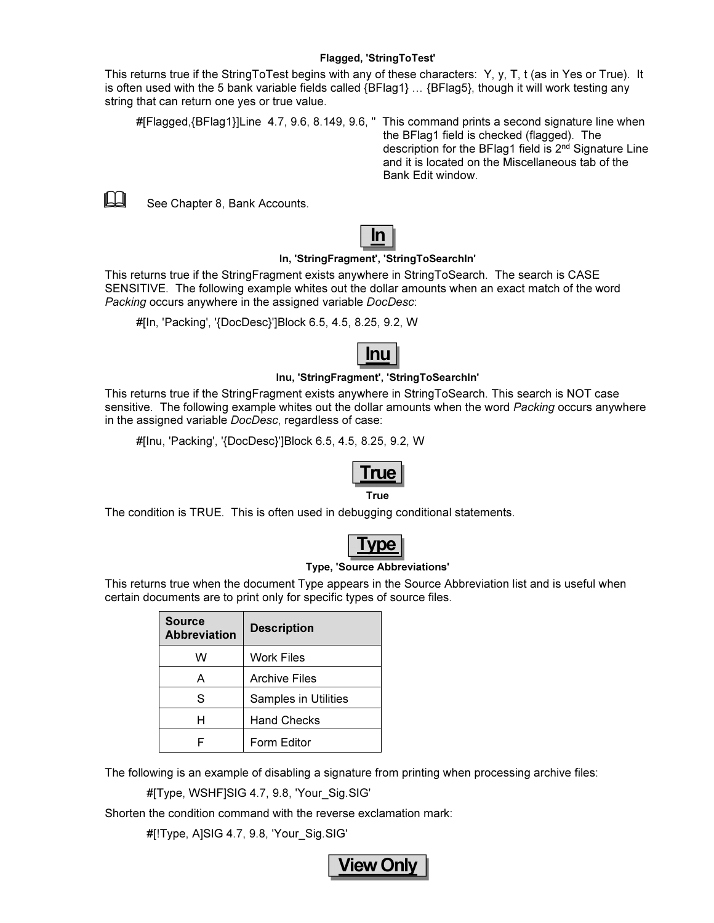This returns true if the StringToTest begins with any of these characters: Y, y, T, t (as in Yes or True). It is often used with the 5 bank variable fields called  ${BFlag1}$   $\ldots$   ${BFlag5}$ , though it will work testing any string that can return one yes or true value.

```
#[Flagged, {BFlag1}]Line 4.7, 9.6, 8.149, 9.6, " This command prints a second signature line when
```
the BFlag1 field is checked (flagged). The description for the BFlag1 field is 2nd Signature Line and it is located on the Miscellaneous tab of the Bank Edit window.



 $\Box$  See Chapter 8, Bank Accounts.



#### In, 'StringFragment', 'StringToSearchIn'

This returns true if the StringFragment exists anywhere in StringToSearch. The search is CASE SENSITIVE. The following example whites out the dollar amounts when an exact match of the word Packing occurs anywhere in the assigned variable DocDesc:

#[In, 'Packing', '{DocDesc}']Block 6.5, 4.5, 8.25, 9.2, W

# <u>Inu</u>

#### Inu, 'StringFragment', 'StringToSearchIn'

This returns true if the StringFragment exists anywhere in StringToSearch. This search is NOT case sensitive. The following example whites out the dollar amounts when the word Packing occurs anywhere in the assigned variable DocDesc, regardless of case:

#[Inu, 'Packing', '{DocDesc}']Block 6.5, 4.5, 8.25, 9.2, W



The condition is TRUE. This is often used in debugging conditional statements.



#### Type, 'Source Abbreviations'

This returns true when the document Type appears in the Source Abbreviation list and is useful when certain documents are to print only for specific types of source files.

| <b>Source</b><br><b>Abbreviation</b> | <b>Description</b>          |
|--------------------------------------|-----------------------------|
| w                                    | <b>Work Files</b>           |
| А                                    | <b>Archive Files</b>        |
| S                                    | <b>Samples in Utilities</b> |
| н                                    | <b>Hand Checks</b>          |
|                                      | Form Editor                 |

The following is an example of disabling a signature from printing when processing archive files:

#[Type, WSHF]SIG 4.7, 9.8, 'Your\_Sig.SIG'

Shorten the condition command with the reverse exclamation mark:

#[!Type, A]SIG 4.7, 9.8, 'Your\_Sig.SIG'

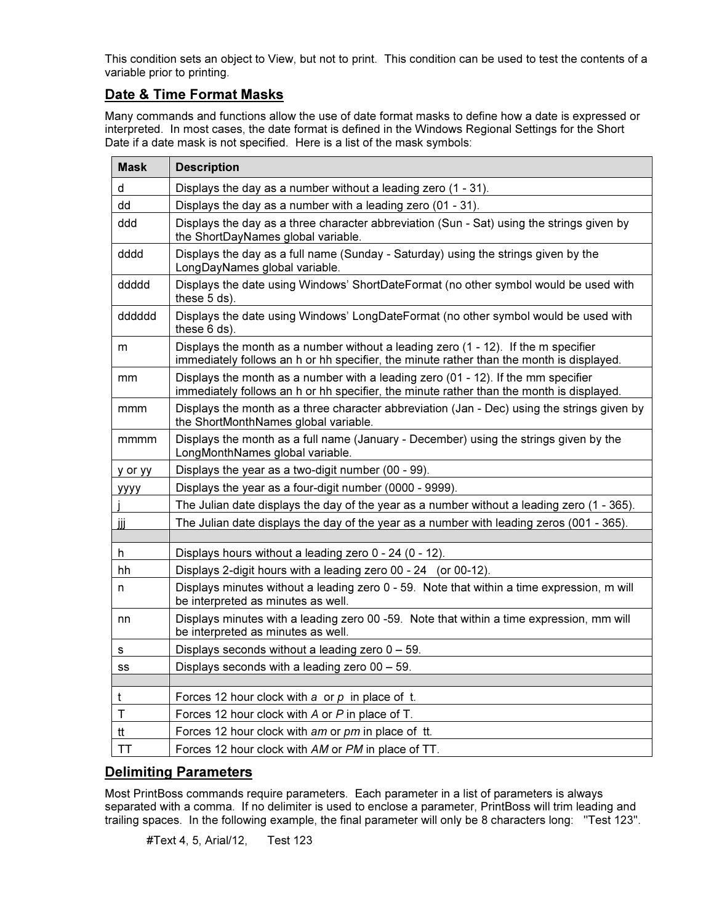This condition sets an object to View, but not to print. This condition can be used to test the contents of a variable prior to printing.

#### Date & Time Format Masks

Many commands and functions allow the use of date format masks to define how a date is expressed or interpreted. In most cases, the date format is defined in the Windows Regional Settings for the Short Date if a date mask is not specified. Here is a list of the mask symbols:

| <b>Mask</b> | <b>Description</b>                                                                                                                                                             |
|-------------|--------------------------------------------------------------------------------------------------------------------------------------------------------------------------------|
| d           | Displays the day as a number without a leading zero (1 - 31).                                                                                                                  |
| dd          | Displays the day as a number with a leading zero (01 - 31).                                                                                                                    |
| ddd         | Displays the day as a three character abbreviation (Sun - Sat) using the strings given by<br>the ShortDayNames global variable.                                                |
| dddd        | Displays the day as a full name (Sunday - Saturday) using the strings given by the<br>LongDayNames global variable.                                                            |
| ddddd       | Displays the date using Windows' ShortDateFormat (no other symbol would be used with<br>these 5 ds).                                                                           |
| dddddd      | Displays the date using Windows' LongDateFormat (no other symbol would be used with<br>these $6$ ds).                                                                          |
| m           | Displays the month as a number without a leading zero (1 - 12). If the m specifier<br>immediately follows an h or hh specifier, the minute rather than the month is displayed. |
| mm          | Displays the month as a number with a leading zero (01 - 12). If the mm specifier<br>immediately follows an h or hh specifier, the minute rather than the month is displayed.  |
| mmm         | Displays the month as a three character abbreviation (Jan - Dec) using the strings given by<br>the ShortMonthNames global variable.                                            |
| mmmm        | Displays the month as a full name (January - December) using the strings given by the<br>LongMonthNames global variable.                                                       |
| y or yy     | Displays the year as a two-digit number (00 - 99).                                                                                                                             |
| уууу        | Displays the year as a four-digit number (0000 - 9999).                                                                                                                        |
|             | The Julian date displays the day of the year as a number without a leading zero (1 - 365).                                                                                     |
| jij         | The Julian date displays the day of the year as a number with leading zeros (001 - 365).                                                                                       |
| h.          | Displays hours without a leading zero 0 - 24 (0 - 12).                                                                                                                         |
| hh          | Displays 2-digit hours with a leading zero 00 - 24 (or 00-12).                                                                                                                 |
| n           | Displays minutes without a leading zero 0 - 59. Note that within a time expression, m will<br>be interpreted as minutes as well.                                               |
| nn          | Displays minutes with a leading zero 00 -59. Note that within a time expression, mm will<br>be interpreted as minutes as well.                                                 |
| s           | Displays seconds without a leading zero $0 - 59$ .                                                                                                                             |
| SS          | Displays seconds with a leading zero $00 - 59$ .                                                                                                                               |
|             |                                                                                                                                                                                |
| t           | Forces 12 hour clock with a or $p$ in place of t.                                                                                                                              |
| T           | Forces 12 hour clock with A or P in place of T.                                                                                                                                |
| tt          | Forces 12 hour clock with am or pm in place of tt.                                                                                                                             |
| TT          | Forces 12 hour clock with AM or PM in place of TT.                                                                                                                             |

#### Delimiting Parameters

Most PrintBoss commands require parameters. Each parameter in a list of parameters is always separated with a comma. If no delimiter is used to enclose a parameter, PrintBoss will trim leading and trailing spaces. In the following example, the final parameter will only be 8 characters long: ''Test 123''.

#Text 4, 5, Arial/12, Test 123